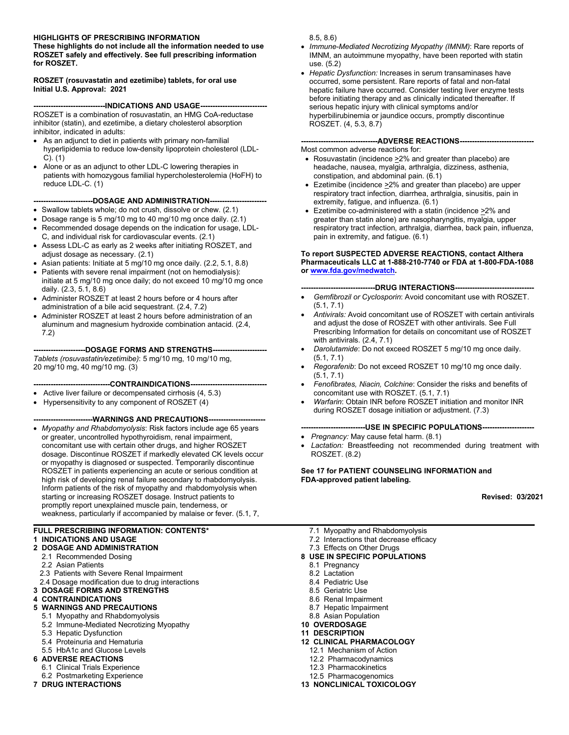#### **HIGHLIGHTS OF PRESCRIBING INFORMATION**

**These highlights do not include all the information needed to use ROSZET safely and effectively. See full prescribing information for ROSZET.** 

#### **ROSZET (rosuvastatin and ezetimibe) tablets, for oral use Initial U.S. Approval: 2021**

**----INDICATIONS AND USAGE----**ROSZET is a combination of rosuvastatin, an HMG CoA-reductase inhibitor (statin), and ezetimibe, a dietary cholesterol absorption inhibitor, indicated in adults:

- As an adjunct to diet in patients with primary non-familial hyperlipidemia to reduce low-density lipoprotein cholesterol (LDL-C). (1)
- Alone or as an adjunct to other LDL-C lowering therapies in patients with homozygous familial hypercholesterolemia (HoFH) to reduce LDL-C. (1)

**------------------------DOSAGE AND ADMINISTRATION-----------------------** 

- Swallow tablets whole; do not crush, dissolve or chew. (2.1)
- Dosage range is 5 mg/10 mg to 40 mg/10 mg once daily.  $(2.1)$
- Recommended dosage depends on the indication for usage, LDL-C, and individual risk for cardiovascular events. (2.1)
- Assess LDL-C as early as 2 weeks after initiating ROSZET, and adjust dosage as necessary. (2.1)
- Asian patients: Initiate at 5 mg/10 mg once daily. (2.2, 5.1, 8.8)
- Patients with severe renal impairment (not on hemodialysis): initiate at 5 mg/10 mg once daily; do not exceed 10 mg/10 mg once daily. (2.3, 5.1, 8.6)
- Administer ROSZET at least 2 hours before or 4 hours after administration of a bile acid sequestrant. (2.4, 7.2)
- Administer ROSZET at least 2 hours before administration of an aluminum and magnesium hydroxide combination antacid. (2.4, 7.2)

**---------------------DOSAGE FORMS AND STRENGTHS----------------------** *Tablets (rosuvastatin/ezetimibe)*: 5 mg/10 mg, 10 mg/10 mg, 20 mg/10 mg, 40 mg/10 mg. (3)

**-------------------------------CONTRAINDICATIONS-------------------------------** 

- Active liver failure or decompensated cirrhosis (4, 5.3)
- Hypersensitivity to any component of ROSZET (4)

## ------WARNINGS AND PRECAUTIONS----

• *Myopathy and Rhabdomyolysis*: Risk factors include age 65 years or greater, uncontrolled hypothyroidism, renal impairment, concomitant use with certain other drugs, and higher ROSZET dosage. Discontinue ROSZET if markedly elevated CK levels occur or myopathy is diagnosed or suspected. Temporarily discontinue ROSZET in patients experiencing an acute or serious condition at high risk of developing renal failure secondary to rhabdomyolysis. Inform patients of the risk of myopathy and rhabdomyolysis when starting or increasing ROSZET dosage. Instruct patients to promptly report unexplained muscle pain, tenderness, or weakness, particularly if accompanied by malaise or fever. (5.1, 7,

#### **FULL PRESCRIBING INFORMATION: CONTENTS\***

#### **1 INDICATIONS AND USAGE**

- **2 DOSAGE AND ADMINISTRATION**
	- 2.1 Recommended Dosing
	- 2.2 Asian Patients
	- 2.3 Patients with Severe Renal Impairment
- 2.4 Dosage modification due to drug interactions
- **3 DOSAGE FORMS AND STRENGTHS**

#### **4 CONTRAINDICATIONS**

- **5 WARNINGS AND PRECAUTIONS**
	- 5.1 Myopathy and Rhabdomyolysis
	- 5.2 Immune-Mediated Necrotizing Myopathy
	- 5.3 Hepatic Dysfunction
	- 5.4 Proteinuria and Hematuria
	- 5.5 HbA1c and Glucose Levels
- **6 ADVERSE REACTIONS**
- 6.1 Clinical Trials Experience
- 6.2 Postmarketing Experience **7 DRUG INTERACTIONS**

8.5, 8.6)

- *Immune-Mediated Necrotizing Myopathy (IMNM)*: Rare reports of IMNM, an autoimmune myopathy, have been reported with statin use. (5.2)
- *Hepatic Dysfunction:* Increases in serum transaminases have occurred, some persistent. Rare reports of fatal and non-fatal hepatic failure have occurred. Consider testing liver enzyme tests before initiating therapy and as clinically indicated thereafter. If serious hepatic injury with clinical symptoms and/or hyperbilirubinemia or jaundice occurs, promptly discontinue ROSZET. (4, 5.3, 8.7)

#### **-------------------------------ADVERSE REACTIONS------------------------------**

- Most common adverse reactions for:
- Rosuvastatin (incidence  $\geq$ 2% and greater than placebo) are headache, nausea, myalgia, arthralgia, dizziness, asthenia, constipation, and abdominal pain. (6.1)
- Ezetimibe (incidence *>*2% and greater than placebo) are upper respiratory tract infection, diarrhea, arthralgia, sinusitis, pain in extremity, fatigue, and influenza. (6.1)
- Ezetimibe co-administered with a statin (incidence *>*2% and greater than statin alone) are nasopharyngitis, myalgia, upper respiratory tract infection, arthralgia, diarrhea, back pain, influenza, pain in extremity, and fatigue. (6.1)

#### **To report SUSPECTED ADVERSE REACTIONS, contact Althera Pharmaceuticals LLC at 1-888-210-7740 or FDA at 1-800-FDA-1088 o[r www.fda.gov/medwatch.](http://www.fda.gov/medwatch)**

**------------------------------DRUG INTERACTIONS--------------------------------** 

- *Gemfibrozil or Cyclosporin*: Avoid concomitant use with ROSZET. (5.1, 7.1)
- *Antivirals:* Avoid concomitant use of ROSZET with certain antivirals and adjust the dose of ROSZET with other antivirals. See Full Prescribing Information for details on concomitant use of ROSZET with antivirals. (2.4, 7.1)
- *Darolutamide*: Do not exceed ROSZET 5 mg/10 mg once daily. (5.1, 7.1)
- *Regorafenib*: Do not exceed ROSZET 10 mg/10 mg once daily. (5.1, 7.1)
- *Fenofibrates, Niacin, Colchine*: Consider the risks and benefits of concomitant use with ROSZET. (5.1, 7.1)
- *Warfarin*: Obtain INR before ROSZET initiation and monitor INR during ROSZET dosage initiation or adjustment. (7.3)

#### **--------------------------USE IN SPECIFIC POPULATIONS---------------------**

- *Pregnancy:* May cause fetal harm. (8.1)
- Lactation: Breastfeeding not recommended during treatment with ROSZET. (8.2)

#### **See 17 for PATIENT COUNSELING INFORMATION and FDA-approved patient labeling.**

 **Revised: 03/2021** 

- 7.1 Myopathy and Rhabdomyolysis
- 7.2 Interactions that decrease efficacy
- 7.3 Effects on Other Drugs

#### **8 USE IN SPECIFIC POPULATIONS**

- 8.1 Pregnancy
- 8.2 Lactation
- 8.4 Pediatric Use
- 8.5 Geriatric Use
- 8.6 Renal Impairment
- 8.7 Hepatic Impairment
- 8.8 Asian Population
- **10 OVERDOSAGE**
- **11 DESCRIPTION**
- **12 CLINICAL PHARMACOLOGY**
	- 12.1 Mechanism of Action
	- 12.2 Pharmacodynamics
	- 12.3 Pharmacokinetics
	- 12.5 Pharmacogenomics
- **13 NONCLINICAL TOXICOLOGY**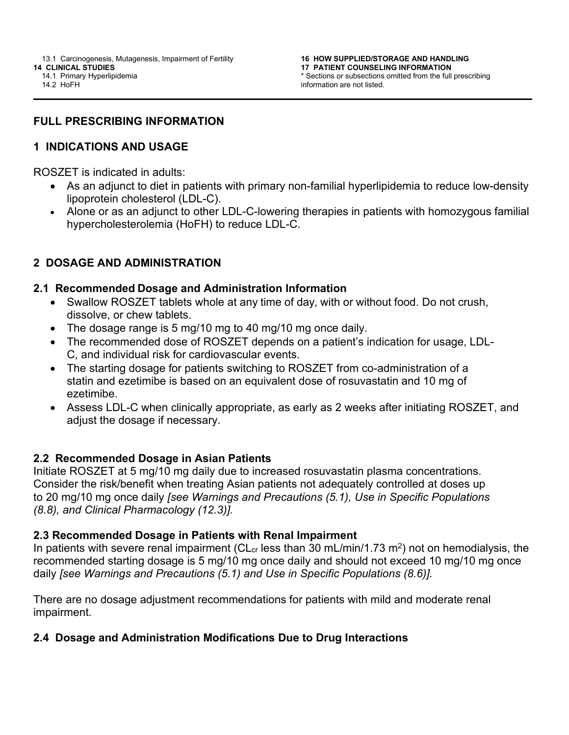14.2 HoFH

## **FULL PRESCRIBING INFORMATION**

## **1 INDICATIONS AND USAGE**

ROSZET is indicated in adults:

- As an adjunct to diet in patients with primary non-familial hyperlipidemia to reduce low-density lipoprotein cholesterol (LDL-C).
- Alone or as an adjunct to other LDL-C-lowering therapies in patients with homozygous familial hypercholesterolemia (HoFH) to reduce LDL-C.

## **2 DOSAGE AND ADMINISTRATION**

#### **2.1 Recommended Dosage and Administration Information**

- Swallow ROSZET tablets whole at any time of day, with or without food. Do not crush, dissolve, or chew tablets.
- The dosage range is 5 mg/10 mg to 40 mg/10 mg once daily.
- The recommended dose of ROSZET depends on a patient's indication for usage, LDL-C, and individual risk for cardiovascular events.
- The starting dosage for patients switching to ROSZET from co-administration of a statin and ezetimibe is based on an equivalent dose of rosuvastatin and 10 mg of ezetimibe.
- Assess LDL-C when clinically appropriate, as early as 2 weeks after initiating ROSZET, and adjust the dosage if necessary.

#### **2.2 Recommended Dosage in Asian Patients**

Initiate ROSZET at 5 mg/10 mg daily due to increased rosuvastatin plasma concentrations. Consider the risk/benefit when treating Asian patients not adequately controlled at doses up to 20 mg/10 mg once daily *[see Warnings and Precautions (5.1), Use in Specific Populations (8.8), and Clinical Pharmacology (12.3)].*

#### **2.3 Recommended Dosage in Patients with Renal Impairment**

In patients with severe renal impairment ( $CL_{cr}$  less than 30 mL/min/1.73 m<sup>2</sup>) not on hemodialysis, the recommended starting dosage is 5 mg/10 mg once daily and should not exceed 10 mg/10 mg once daily *[see Warnings and Precautions (5.1) and Use in Specific Populations (8.6)].* 

There are no dosage adjustment recommendations for patients with mild and moderate renal impairment.

## **2.4 Dosage and Administration Modifications Due to Drug Interactions**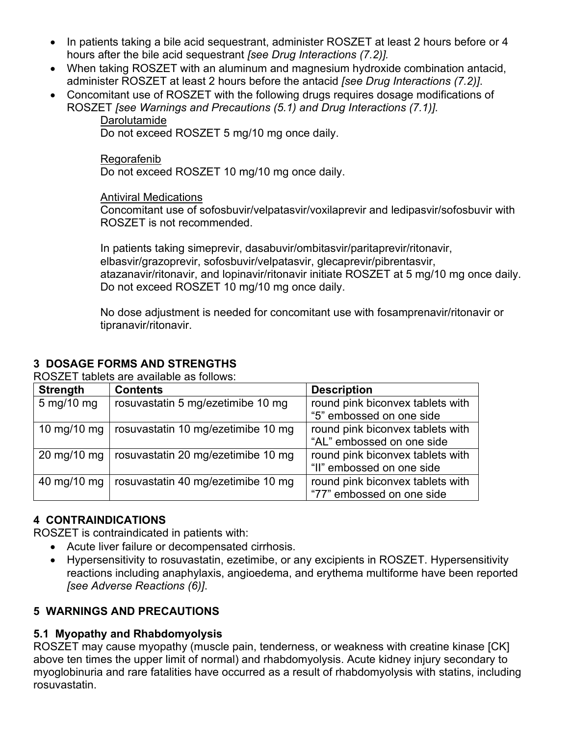- In patients taking a bile acid sequestrant, administer ROSZET at least 2 hours before or 4 hours after the bile acid sequestrant *[see Drug Interactions (7.2)].*
- When taking ROSZET with an aluminum and magnesium hydroxide combination antacid, administer ROSZET at least 2 hours before the antacid *[see Drug Interactions (7.2)]*.
- Concomitant use of ROSZET with the following drugs requires dosage modifications of ROSZET *[see Warnings and Precautions (5.1) and Drug Interactions (7.1)].*
	- **Darolutamide**

Do not exceed ROSZET 5 mg/10 mg once daily.

Regorafenib Do not exceed ROSZET 10 mg/10 mg once daily.

Antiviral Medications

Concomitant use of sofosbuvir/velpatasvir/voxilaprevir and ledipasvir/sofosbuvir with ROSZET is not recommended.

In patients taking simeprevir, dasabuvir/ombitasvir/paritaprevir/ritonavir, elbasvir/grazoprevir, sofosbuvir/velpatasvir, glecaprevir/pibrentasvir, atazanavir/ritonavir, and lopinavir/ritonavir initiate ROSZET at 5 mg/10 mg once daily. Do not exceed ROSZET 10 mg/10 mg once daily.

No dose adjustment is needed for concomitant use with fosamprenavir/ritonavir or tipranavir/ritonavir.

## **3 DOSAGE FORMS AND STRENGTHS**

ROSZET tablets are available as follows:

| <b>Strength</b>               | <b>Contents</b>                                  | <b>Description</b>               |
|-------------------------------|--------------------------------------------------|----------------------------------|
| 5 mg/10 mg                    | rosuvastatin 5 mg/ezetimibe 10 mg                | round pink biconvex tablets with |
|                               |                                                  | "5" embossed on one side         |
| 10 mg/10 mg                   | rosuvastatin 10 mg/ezetimibe 10 mg               | round pink biconvex tablets with |
|                               |                                                  | "AL" embossed on one side        |
| $20 \text{ mg}/10 \text{ mg}$ | rosuvastatin 20 mg/ezetimibe 10 mg               | round pink biconvex tablets with |
|                               |                                                  | "II" embossed on one side        |
|                               | 40 mg/10 mg   rosuvastatin 40 mg/ezetimibe 10 mg | round pink biconvex tablets with |
|                               |                                                  | "77" embossed on one side        |

#### **4 CONTRAINDICATIONS**

ROSZET is contraindicated in patients with:

- Acute liver failure or decompensated cirrhosis.
- Hypersensitivity to rosuvastatin, ezetimibe, or any excipients in ROSZET. Hypersensitivity reactions including anaphylaxis, angioedema, and erythema multiforme have been reported *[see Adverse Reactions (6)]*.

#### **5 WARNINGS AND PRECAUTIONS**

#### **5.1 Myopathy and Rhabdomyolysis**

ROSZET may cause myopathy (muscle pain, tenderness, or weakness with creatine kinase [CK] above ten times the upper limit of normal) and rhabdomyolysis. Acute kidney injury secondary to myoglobinuria and rare fatalities have occurred as a result of rhabdomyolysis with statins, including rosuvastatin.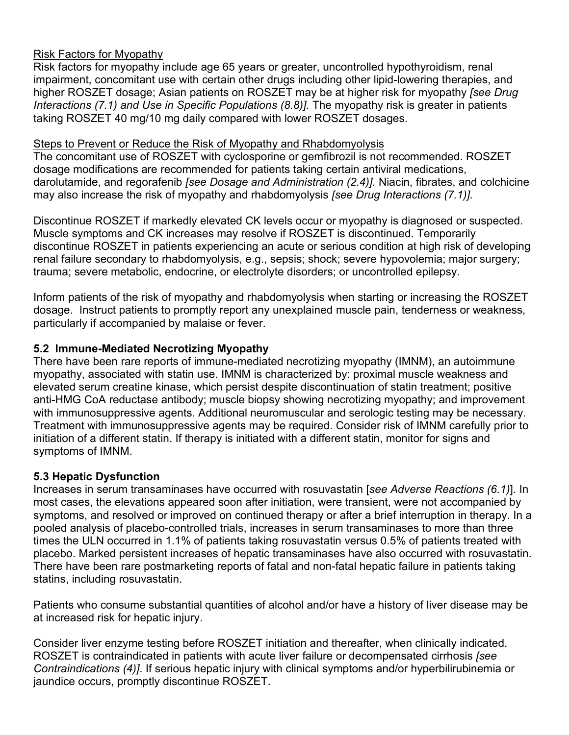## Risk Factors for Myopathy

Risk factors for myopathy include age 65 years or greater, uncontrolled hypothyroidism, renal impairment, concomitant use with certain other drugs including other lipid-lowering therapies, and higher ROSZET dosage; Asian patients on ROSZET may be at higher risk for myopathy *[see Drug Interactions (7.1) and Use in Specific Populations (8.8)].* The myopathy risk is greater in patients taking ROSZET 40 mg/10 mg daily compared with lower ROSZET dosages.

#### Steps to Prevent or Reduce the Risk of Myopathy and Rhabdomyolysis

The concomitant use of ROSZET with cyclosporine or gemfibrozil is not recommended. ROSZET dosage modifications are recommended for patients taking certain antiviral medications, darolutamide, and regorafenib *[see Dosage and Administration (2.4)].* Niacin, fibrates, and colchicine may also increase the risk of myopathy and rhabdomyolysis *[see Drug Interactions (7.1)].*

Discontinue ROSZET if markedly elevated CK levels occur or myopathy is diagnosed or suspected. Muscle symptoms and CK increases may resolve if ROSZET is discontinued. Temporarily discontinue ROSZET in patients experiencing an acute or serious condition at high risk of developing renal failure secondary to rhabdomyolysis, e.g., sepsis; shock; severe hypovolemia; major surgery; trauma; severe metabolic, endocrine, or electrolyte disorders; or uncontrolled epilepsy.

Inform patients of the risk of myopathy and rhabdomyolysis when starting or increasing the ROSZET dosage. Instruct patients to promptly report any unexplained muscle pain, tenderness or weakness, particularly if accompanied by malaise or fever.

## **5.2 Immune-Mediated Necrotizing Myopathy**

There have been rare reports of immune-mediated necrotizing myopathy (IMNM), an autoimmune myopathy, associated with statin use. IMNM is characterized by: proximal muscle weakness and elevated serum creatine kinase, which persist despite discontinuation of statin treatment; positive anti-HMG CoA reductase antibody; muscle biopsy showing necrotizing myopathy; and improvement with immunosuppressive agents. Additional neuromuscular and serologic testing may be necessary. Treatment with immunosuppressive agents may be required. Consider risk of IMNM carefully prior to initiation of a different statin. If therapy is initiated with a different statin, monitor for signs and symptoms of IMNM.

## **5.3 Hepatic Dysfunction**

Increases in serum transaminases have occurred with rosuvastatin [*see Adverse Reactions (6.1)*]. In most cases, the elevations appeared soon after initiation, were transient, were not accompanied by symptoms, and resolved or improved on continued therapy or after a brief interruption in therapy. In a pooled analysis of placebo-controlled trials, increases in serum transaminases to more than three times the ULN occurred in 1.1% of patients taking rosuvastatin versus 0.5% of patients treated with placebo. Marked persistent increases of hepatic transaminases have also occurred with rosuvastatin. There have been rare postmarketing reports of fatal and non-fatal hepatic failure in patients taking statins, including rosuvastatin.

Patients who consume substantial quantities of alcohol and/or have a history of liver disease may be at increased risk for hepatic injury.

Consider liver enzyme testing before ROSZET initiation and thereafter, when clinically indicated. ROSZET is contraindicated in patients with acute liver failure or decompensated cirrhosis *[see Contraindications (4)]*. If serious hepatic injury with clinical symptoms and/or hyperbilirubinemia or jaundice occurs, promptly discontinue ROSZET.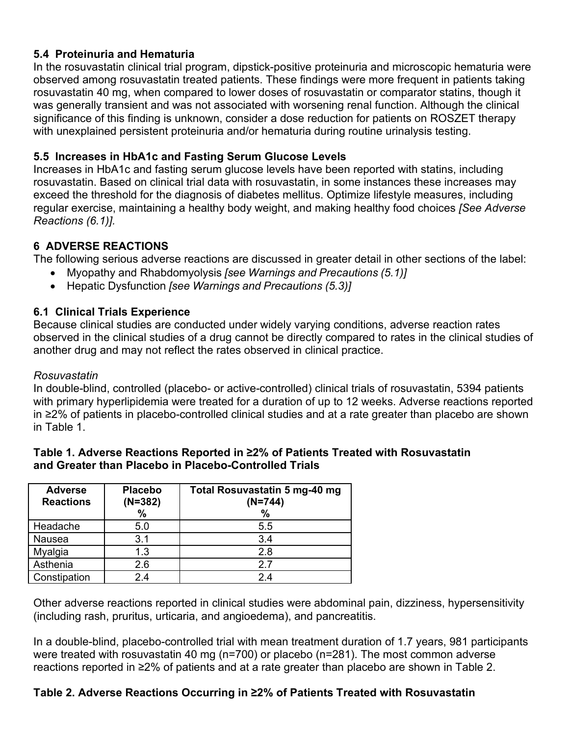## **5.4 Proteinuria and Hematuria**

In the rosuvastatin clinical trial program, dipstick-positive proteinuria and microscopic hematuria were observed among rosuvastatin treated patients. These findings were more frequent in patients taking rosuvastatin 40 mg, when compared to lower doses of rosuvastatin or comparator statins, though it was generally transient and was not associated with worsening renal function. Although the clinical significance of this finding is unknown, consider a dose reduction for patients on ROSZET therapy with unexplained persistent proteinuria and/or hematuria during routine urinalysis testing.

## **5.5 Increases in HbA1c and Fasting Serum Glucose Levels**

Increases in HbA1c and fasting serum glucose levels have been reported with statins, including rosuvastatin. Based on clinical trial data with rosuvastatin, in some instances these increases may exceed the threshold for the diagnosis of diabetes mellitus. Optimize lifestyle measures, including regular exercise, maintaining a healthy body weight, and making healthy food choices *[See Adverse Reactions (6.1)].*

## **6 ADVERSE REACTIONS**

The following serious adverse reactions are discussed in greater detail in other sections of the label:

- Myopathy and Rhabdomyolysis *[see Warnings and Precautions (5.1)]*
- Hepatic Dysfunction *[see Warnings and Precautions (5.3)]*

## **6.1 Clinical Trials Experience**

Because clinical studies are conducted under widely varying conditions, adverse reaction rates observed in the clinical studies of a drug cannot be directly compared to rates in the clinical studies of another drug and may not reflect the rates observed in clinical practice.

#### *Rosuvastatin*

In double-blind, controlled (placebo- or active-controlled) clinical trials of rosuvastatin, 5394 patients with primary hyperlipidemia were treated for a duration of up to 12 weeks. Adverse reactions reported in ≥2% of patients in placebo-controlled clinical studies and at a rate greater than placebo are shown in Table 1.

| <b>Adverse</b><br><b>Reactions</b> | <b>Placebo</b><br>$(N=382)$<br>% | Total Rosuvastatin 5 mg-40 mg<br>$(N=744)$<br>$\%$ |
|------------------------------------|----------------------------------|----------------------------------------------------|
| Headache                           | 5.0                              | 5.5                                                |
| Nausea                             | 3.1                              | 3.4                                                |
| Myalgia                            | 1.3                              | 2.8                                                |
| Asthenia                           | 2.6                              | 2.7                                                |
| Constipation                       | 24                               | 24                                                 |

#### **Table 1. Adverse Reactions Reported in ≥2% of Patients Treated with Rosuvastatin and Greater than Placebo in Placebo-Controlled Trials**

Other adverse reactions reported in clinical studies were abdominal pain, dizziness, hypersensitivity (including rash, pruritus, urticaria, and angioedema), and pancreatitis.

In a double-blind, placebo-controlled trial with mean treatment duration of 1.7 years, 981 participants were treated with rosuvastatin 40 mg (n=700) or placebo (n=281). The most common adverse reactions reported in ≥2% of patients and at a rate greater than placebo are shown in Table 2.

#### **Table 2. Adverse Reactions Occurring in ≥2% of Patients Treated with Rosuvastatin**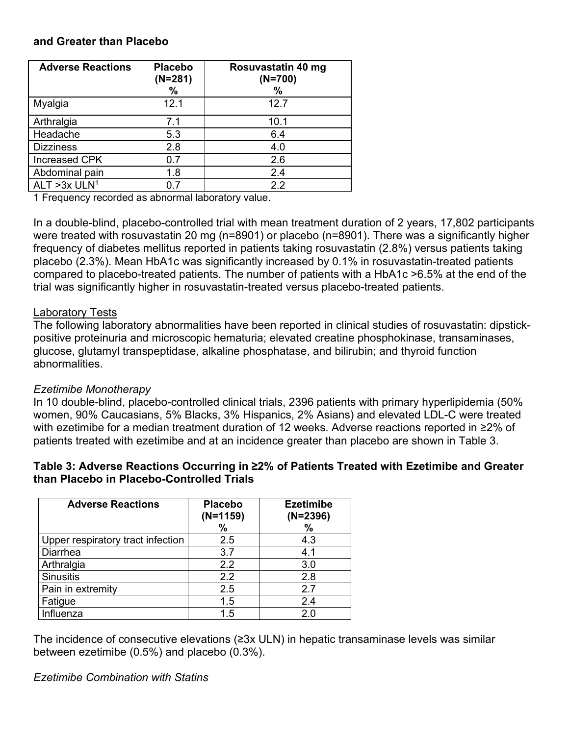#### **and Greater than Placebo**

| <b>Adverse Reactions</b>   | <b>Placebo</b><br>$(N=281)$<br>$\%$ | Rosuvastatin 40 mg<br>$(N=700)$<br>% |
|----------------------------|-------------------------------------|--------------------------------------|
| Myalgia                    | 12.1                                | 12.7                                 |
| Arthralgia                 | 7.1                                 | 10.1                                 |
| Headache                   | 5.3                                 | 6.4                                  |
| <b>Dizziness</b>           | 2.8                                 | 4.0                                  |
| <b>Increased CPK</b>       | 0.7                                 | 2.6                                  |
| Abdominal pain             | 1.8                                 | 2.4                                  |
| ALT $>3x$ ULN <sup>1</sup> | በ 7                                 | $2.2\,$                              |

1 Frequency recorded as abnormal laboratory value.

In a double-blind, placebo-controlled trial with mean treatment duration of 2 years, 17,802 participants were treated with rosuvastatin 20 mg (n=8901) or placebo (n=8901). There was a significantly higher frequency of diabetes mellitus reported in patients taking rosuvastatin (2.8%) versus patients taking placebo (2.3%). Mean HbA1c was significantly increased by 0.1% in rosuvastatin-treated patients compared to placebo-treated patients. The number of patients with a HbA1c >6.5% at the end of the trial was significantly higher in rosuvastatin-treated versus placebo-treated patients.

#### Laboratory Tests

The following laboratory abnormalities have been reported in clinical studies of rosuvastatin: dipstickpositive proteinuria and microscopic hematuria; elevated creatine phosphokinase, transaminases, glucose, glutamyl transpeptidase, alkaline phosphatase, and bilirubin; and thyroid function abnormalities.

#### *Ezetimibe Monotherapy*

In 10 double-blind, placebo-controlled clinical trials, 2396 patients with primary hyperlipidemia (50% women, 90% Caucasians, 5% Blacks, 3% Hispanics, 2% Asians) and elevated LDL-C were treated with ezetimibe for a median treatment duration of 12 weeks. Adverse reactions reported in ≥2% of patients treated with ezetimibe and at an incidence greater than placebo are shown in Table 3.

## **Table 3: Adverse Reactions Occurring in ≥2% of Patients Treated with Ezetimibe and Greater than Placebo in Placebo-Controlled Trials**

| <b>Adverse Reactions</b>          | <b>Placebo</b><br>$(N=1159)$<br>$\%$ | <b>Ezetimibe</b><br>$(N=2396)$<br>$\frac{0}{0}$ |
|-----------------------------------|--------------------------------------|-------------------------------------------------|
| Upper respiratory tract infection | 2.5                                  | 4.3                                             |
| Diarrhea                          | 3.7                                  | 4.1                                             |
| Arthralgia                        | 2.2                                  | 3.0                                             |
| <b>Sinusitis</b>                  | 2.2                                  | 2.8                                             |
| Pain in extremity                 | 2.5                                  | 2.7                                             |
| Fatigue                           | 1.5                                  | 2.4                                             |
| Influenza                         | 1.5                                  | 2.0                                             |

The incidence of consecutive elevations (≥3x ULN) in hepatic transaminase levels was similar between ezetimibe (0.5%) and placebo (0.3%).

*Ezetimibe Combination with Statins*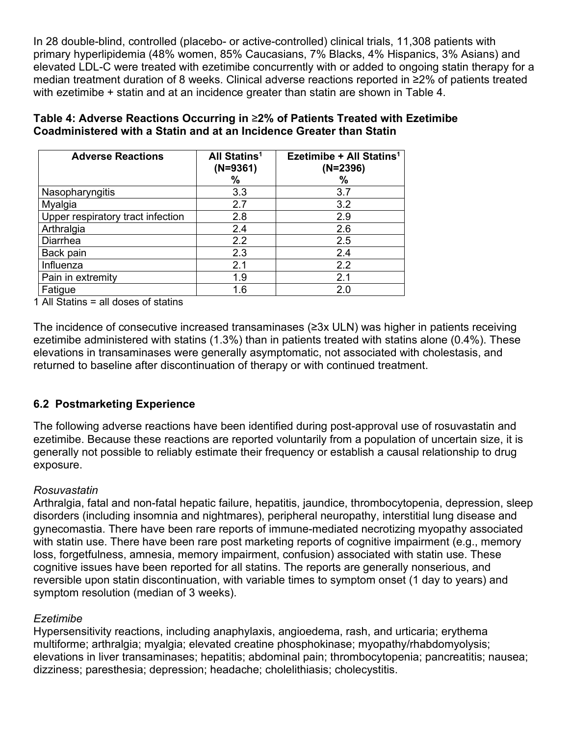In 28 double-blind, controlled (placebo- or active-controlled) clinical trials, 11,308 patients with primary hyperlipidemia (48% women, 85% Caucasians, 7% Blacks, 4% Hispanics, 3% Asians) and elevated LDL-C were treated with ezetimibe concurrently with or added to ongoing statin therapy for a median treatment duration of 8 weeks. Clinical adverse reactions reported in ≥2% of patients treated with ezetimibe + statin and at an incidence greater than statin are shown in Table 4.

| <b>Adverse Reactions</b>          | All Statins <sup>1</sup><br>$(N=9361)$<br>$\%$ | Ezetimibe + All Statins <sup>1</sup><br>$(N=2396)$<br>$\%$ |
|-----------------------------------|------------------------------------------------|------------------------------------------------------------|
| Nasopharyngitis                   | 3.3                                            | 3.7                                                        |
| Myalgia                           | 2.7                                            | 3.2                                                        |
| Upper respiratory tract infection | 2.8                                            | 2.9                                                        |
| Arthralgia                        | 2.4                                            | 2.6                                                        |
| <b>Diarrhea</b>                   | 2.2                                            | 2.5                                                        |
| Back pain                         | 2.3                                            | 2.4                                                        |
| Influenza                         | 2.1                                            | 2.2                                                        |
| Pain in extremity                 | 1.9                                            | 2.1                                                        |
| Fatigue                           | 1.6                                            | 2.0                                                        |

**Table 4: Adverse Reactions Occurring in** ≥**2% of Patients Treated with Ezetimibe Coadministered with a Statin and at an Incidence Greater than Statin**

1 All Statins = all doses of statins

The incidence of consecutive increased transaminases (≥3x ULN) was higher in patients receiving ezetimibe administered with statins (1.3%) than in patients treated with statins alone (0.4%). These elevations in transaminases were generally asymptomatic, not associated with cholestasis, and returned to baseline after discontinuation of therapy or with continued treatment.

#### **6.2 Postmarketing Experience**

The following adverse reactions have been identified during post-approval use of rosuvastatin and ezetimibe. Because these reactions are reported voluntarily from a population of uncertain size, it is generally not possible to reliably estimate their frequency or establish a causal relationship to drug exposure.

#### *Rosuvastatin*

Arthralgia, fatal and non-fatal hepatic failure, hepatitis, jaundice, thrombocytopenia, depression, sleep disorders (including insomnia and nightmares), peripheral neuropathy, interstitial lung disease and gynecomastia. There have been rare reports of immune-mediated necrotizing myopathy associated with statin use. There have been rare post marketing reports of cognitive impairment (e.g., memory loss, forgetfulness, amnesia, memory impairment, confusion) associated with statin use. These cognitive issues have been reported for all statins. The reports are generally nonserious, and reversible upon statin discontinuation, with variable times to symptom onset (1 day to years) and symptom resolution (median of 3 weeks).

#### *Ezetimibe*

Hypersensitivity reactions, including anaphylaxis, angioedema, rash, and urticaria; erythema multiforme; arthralgia; myalgia; elevated creatine phosphokinase; myopathy/rhabdomyolysis; elevations in liver transaminases; hepatitis; abdominal pain; thrombocytopenia; pancreatitis; nausea; dizziness; paresthesia; depression; headache; cholelithiasis; cholecystitis.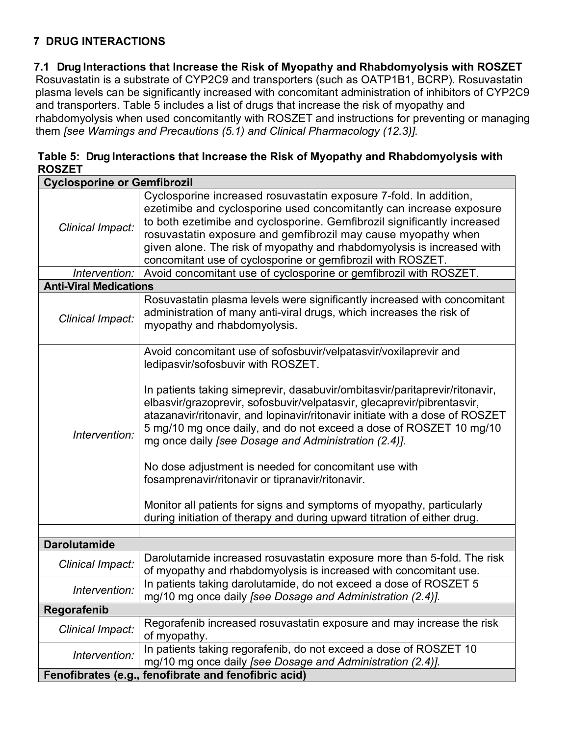# **7 DRUG INTERACTIONS**

## **7.1 Drug Interactions that Increase the Risk of Myopathy and Rhabdomyolysis with ROSZET**

Rosuvastatin is a substrate of CYP2C9 and transporters (such as OATP1B1, BCRP). Rosuvastatin plasma levels can be significantly increased with concomitant administration of inhibitors of CYP2C9 and transporters. Table 5 includes a list of drugs that increase the risk of myopathy and rhabdomyolysis when used concomitantly with ROSZET and instructions for preventing or managing them *[see Warnings and Precautions (5.1) and Clinical Pharmacology (12.3)].*

## **Table 5: Drug Interactions that Increase the Risk of Myopathy and Rhabdomyolysis with ROSZET**

| <b>Cyclosporine or Gemfibrozil</b> |                                                                                                                                                                                                                                                                                                                                                                                                                                                                                                                                                                                                                                                                                                                                                  |  |  |
|------------------------------------|--------------------------------------------------------------------------------------------------------------------------------------------------------------------------------------------------------------------------------------------------------------------------------------------------------------------------------------------------------------------------------------------------------------------------------------------------------------------------------------------------------------------------------------------------------------------------------------------------------------------------------------------------------------------------------------------------------------------------------------------------|--|--|
| Clinical Impact:                   | Cyclosporine increased rosuvastatin exposure 7-fold. In addition,<br>ezetimibe and cyclosporine used concomitantly can increase exposure<br>to both ezetimibe and cyclosporine. Gemfibrozil significantly increased<br>rosuvastatin exposure and gemfibrozil may cause myopathy when<br>given alone. The risk of myopathy and rhabdomyolysis is increased with<br>concomitant use of cyclosporine or gemfibrozil with ROSZET.                                                                                                                                                                                                                                                                                                                    |  |  |
| Intervention:                      | Avoid concomitant use of cyclosporine or gemfibrozil with ROSZET.                                                                                                                                                                                                                                                                                                                                                                                                                                                                                                                                                                                                                                                                                |  |  |
| <b>Anti-Viral Medications</b>      |                                                                                                                                                                                                                                                                                                                                                                                                                                                                                                                                                                                                                                                                                                                                                  |  |  |
| Clinical Impact:                   | Rosuvastatin plasma levels were significantly increased with concomitant<br>administration of many anti-viral drugs, which increases the risk of<br>myopathy and rhabdomyolysis.                                                                                                                                                                                                                                                                                                                                                                                                                                                                                                                                                                 |  |  |
| Intervention:                      | Avoid concomitant use of sofosbuvir/velpatasvir/voxilaprevir and<br>ledipasvir/sofosbuvir with ROSZET.<br>In patients taking simeprevir, dasabuvir/ombitasvir/paritaprevir/ritonavir,<br>elbasvir/grazoprevir, sofosbuvir/velpatasvir, glecaprevir/pibrentasvir,<br>atazanavir/ritonavir, and lopinavir/ritonavir initiate with a dose of ROSZET<br>5 mg/10 mg once daily, and do not exceed a dose of ROSZET 10 mg/10<br>mg once daily [see Dosage and Administration (2.4)].<br>No dose adjustment is needed for concomitant use with<br>fosamprenavir/ritonavir or tipranavir/ritonavir.<br>Monitor all patients for signs and symptoms of myopathy, particularly<br>during initiation of therapy and during upward titration of either drug. |  |  |
|                                    |                                                                                                                                                                                                                                                                                                                                                                                                                                                                                                                                                                                                                                                                                                                                                  |  |  |
| <b>Darolutamide</b>                |                                                                                                                                                                                                                                                                                                                                                                                                                                                                                                                                                                                                                                                                                                                                                  |  |  |
| Clinical Impact:                   | Darolutamide increased rosuvastatin exposure more than 5-fold. The risk<br>of myopathy and rhabdomyolysis is increased with concomitant use.                                                                                                                                                                                                                                                                                                                                                                                                                                                                                                                                                                                                     |  |  |
| Intervention:                      | In patients taking darolutamide, do not exceed a dose of ROSZET 5<br>mg/10 mg once daily [see Dosage and Administration (2.4)].                                                                                                                                                                                                                                                                                                                                                                                                                                                                                                                                                                                                                  |  |  |
| Regorafenib                        |                                                                                                                                                                                                                                                                                                                                                                                                                                                                                                                                                                                                                                                                                                                                                  |  |  |
| Clinical Impact:                   | Regorafenib increased rosuvastatin exposure and may increase the risk<br>of myopathy.                                                                                                                                                                                                                                                                                                                                                                                                                                                                                                                                                                                                                                                            |  |  |
| Intervention:                      | In patients taking regorafenib, do not exceed a dose of ROSZET 10<br>mg/10 mg once daily [see Dosage and Administration (2.4)].                                                                                                                                                                                                                                                                                                                                                                                                                                                                                                                                                                                                                  |  |  |
|                                    | Fenofibrates (e.g., fenofibrate and fenofibric acid)                                                                                                                                                                                                                                                                                                                                                                                                                                                                                                                                                                                                                                                                                             |  |  |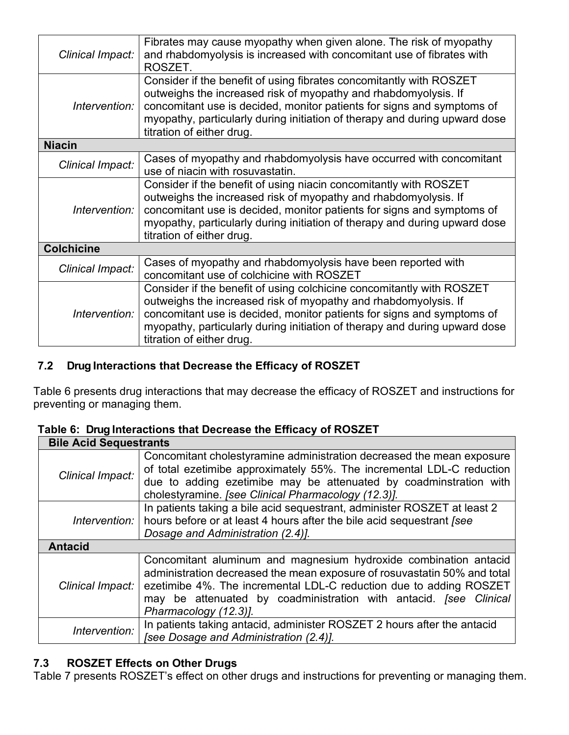| Clinical Impact:  | Fibrates may cause myopathy when given alone. The risk of myopathy<br>and rhabdomyolysis is increased with concomitant use of fibrates with<br>ROSZET.                                                                                                                                                                        |
|-------------------|-------------------------------------------------------------------------------------------------------------------------------------------------------------------------------------------------------------------------------------------------------------------------------------------------------------------------------|
| Intervention:     | Consider if the benefit of using fibrates concomitantly with ROSZET<br>outweighs the increased risk of myopathy and rhabdomyolysis. If<br>concomitant use is decided, monitor patients for signs and symptoms of<br>myopathy, particularly during initiation of therapy and during upward dose<br>titration of either drug.   |
| <b>Niacin</b>     |                                                                                                                                                                                                                                                                                                                               |
| Clinical Impact:  | Cases of myopathy and rhabdomyolysis have occurred with concomitant<br>use of niacin with rosuvastatin.                                                                                                                                                                                                                       |
| Intervention:     | Consider if the benefit of using niacin concomitantly with ROSZET<br>outweighs the increased risk of myopathy and rhabdomyolysis. If<br>concomitant use is decided, monitor patients for signs and symptoms of<br>myopathy, particularly during initiation of therapy and during upward dose<br>titration of either drug.     |
| <b>Colchicine</b> |                                                                                                                                                                                                                                                                                                                               |
| Clinical Impact:  | Cases of myopathy and rhabdomyolysis have been reported with<br>concomitant use of colchicine with ROSZET                                                                                                                                                                                                                     |
| Intervention:     | Consider if the benefit of using colchicine concomitantly with ROSZET<br>outweighs the increased risk of myopathy and rhabdomyolysis. If<br>concomitant use is decided, monitor patients for signs and symptoms of<br>myopathy, particularly during initiation of therapy and during upward dose<br>titration of either drug. |

# **7.2 Drug Interactions that Decrease the Efficacy of ROSZET**

Table 6 presents drug interactions that may decrease the efficacy of ROSZET and instructions for preventing or managing them.

|                               | Table 6: Drug interactions that Decrease the Efficacy of ROSZET                        |  |  |  |
|-------------------------------|----------------------------------------------------------------------------------------|--|--|--|
| <b>Bile Acid Sequestrants</b> |                                                                                        |  |  |  |
|                               | Concomitant cholestyramine administration decreased the mean exposure                  |  |  |  |
|                               | of total ezetimibe approximately $55\%$ The incremental LDL C reduction $\blacksquare$ |  |  |  |

# **Table 6: Drug Interactions that Decrease the Efficacy of ROSZET**

| <b>DIIG WORK OCHNESHAIRS</b> |                                                                                                                                                                                                                                                                                                                  |
|------------------------------|------------------------------------------------------------------------------------------------------------------------------------------------------------------------------------------------------------------------------------------------------------------------------------------------------------------|
| Clinical Impact:             | Concomitant cholestyramine administration decreased the mean exposure<br>of total ezetimibe approximately 55%. The incremental LDL-C reduction<br>due to adding ezetimibe may be attenuated by coadminstration with<br>cholestyramine. [see Clinical Pharmacology (12.3)].                                       |
| Intervention:                | In patients taking a bile acid sequestrant, administer ROSZET at least 2<br>hours before or at least 4 hours after the bile acid sequestrant [see<br>Dosage and Administration (2.4)].                                                                                                                           |
| <b>Antacid</b>               |                                                                                                                                                                                                                                                                                                                  |
| Clinical Impact:             | Concomitant aluminum and magnesium hydroxide combination antacid<br>administration decreased the mean exposure of rosuvastatin 50% and total<br>ezetimibe 4%. The incremental LDL-C reduction due to adding ROSZET<br>may be attenuated by coadministration with antacid. [see Clinical<br>Pharmacology (12.3)]. |
| Intervention:                | In patients taking antacid, administer ROSZET 2 hours after the antacid<br>[see Dosage and Administration (2.4)].                                                                                                                                                                                                |

# **7.3 ROSZET Effects on Other Drugs**

Table 7 presents ROSZET's effect on other drugs and instructions for preventing or managing them.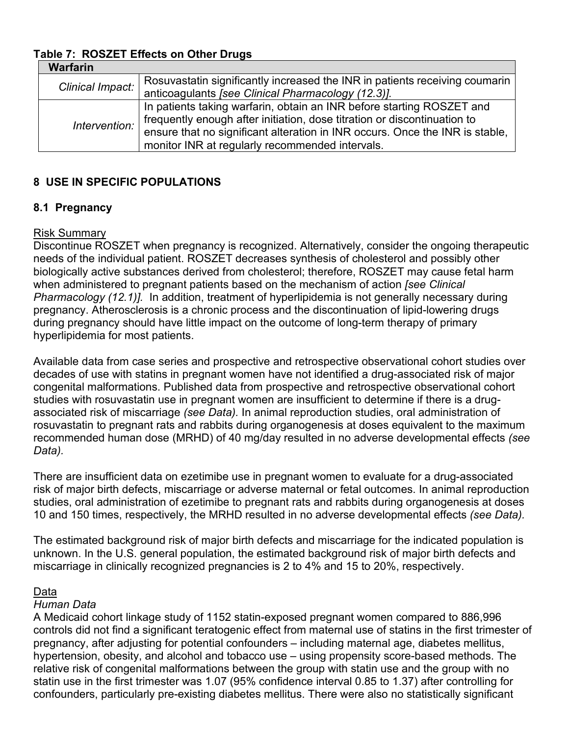# **Table 7: ROSZET Effects on Other Drugs**

| <b>Warfarin</b>  |                                                                              |
|------------------|------------------------------------------------------------------------------|
| Clinical Impact: | Rosuvastatin significantly increased the INR in patients receiving coumarin  |
|                  | anticoagulants [see Clinical Pharmacology (12.3)].                           |
|                  | In patients taking warfarin, obtain an INR before starting ROSZET and        |
| Intervention:    | frequently enough after initiation, dose titration or discontinuation to     |
|                  | ensure that no significant alteration in INR occurs. Once the INR is stable, |
|                  | monitor INR at regularly recommended intervals.                              |

## **8 USE IN SPECIFIC POPULATIONS**

## **8.1 Pregnancy**

#### Risk Summary

Discontinue ROSZET when pregnancy is recognized. Alternatively, consider the ongoing therapeutic needs of the individual patient. ROSZET decreases synthesis of cholesterol and possibly other biologically active substances derived from cholesterol; therefore, ROSZET may cause fetal harm when administered to pregnant patients based on the mechanism of action *[see Clinical Pharmacology (12.1)].* In addition, treatment of hyperlipidemia is not generally necessary during pregnancy. Atherosclerosis is a chronic process and the discontinuation of lipid-lowering drugs during pregnancy should have little impact on the outcome of long-term therapy of primary hyperlipidemia for most patients.

Available data from case series and prospective and retrospective observational cohort studies over decades of use with statins in pregnant women have not identified a drug-associated risk of major congenital malformations. Published data from prospective and retrospective observational cohort studies with rosuvastatin use in pregnant women are insufficient to determine if there is a drugassociated risk of miscarriage *(see Data).* In animal reproduction studies, oral administration of rosuvastatin to pregnant rats and rabbits during organogenesis at doses equivalent to the maximum recommended human dose (MRHD) of 40 mg/day resulted in no adverse developmental effects *(see Data).*

There are insufficient data on ezetimibe use in pregnant women to evaluate for a drug-associated risk of major birth defects, miscarriage or adverse maternal or fetal outcomes. In animal reproduction studies, oral administration of ezetimibe to pregnant rats and rabbits during organogenesis at doses 10 and 150 times, respectively, the MRHD resulted in no adverse developmental effects *(see Data).*

The estimated background risk of major birth defects and miscarriage for the indicated population is unknown. In the U.S. general population, the estimated background risk of major birth defects and miscarriage in clinically recognized pregnancies is 2 to 4% and 15 to 20%, respectively.

#### Data

#### *Human Data*

A Medicaid cohort linkage study of 1152 statin-exposed pregnant women compared to 886,996 controls did not find a significant teratogenic effect from maternal use of statins in the first trimester of pregnancy, after adjusting for potential confounders – including maternal age, diabetes mellitus, hypertension, obesity, and alcohol and tobacco use – using propensity score-based methods. The relative risk of congenital malformations between the group with statin use and the group with no statin use in the first trimester was 1.07 (95% confidence interval 0.85 to 1.37) after controlling for confounders, particularly pre-existing diabetes mellitus. There were also no statistically significant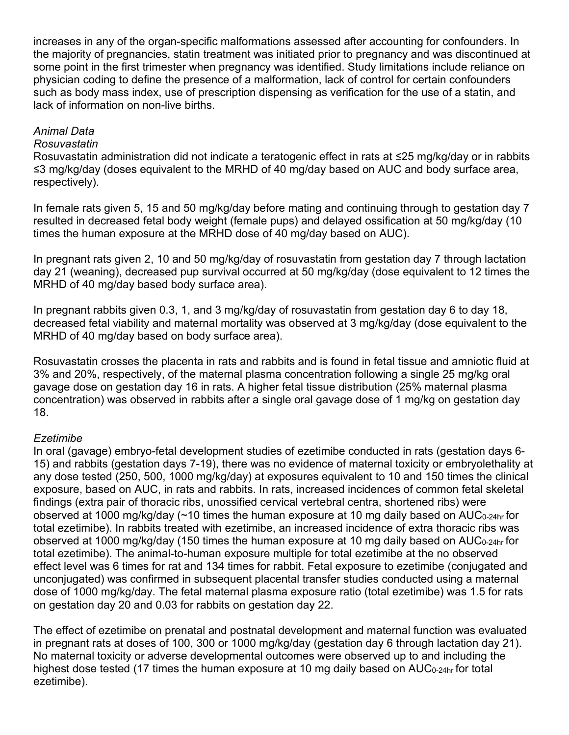increases in any of the organ-specific malformations assessed after accounting for confounders. In the majority of pregnancies, statin treatment was initiated prior to pregnancy and was discontinued at some point in the first trimester when pregnancy was identified. Study limitations include reliance on physician coding to define the presence of a malformation, lack of control for certain confounders such as body mass index, use of prescription dispensing as verification for the use of a statin, and lack of information on non-live births.

## *Animal Data*

## *Rosuvastatin*

Rosuvastatin administration did not indicate a teratogenic effect in rats at ≤25 mg/kg/day or in rabbits ≤3 mg/kg/day (doses equivalent to the MRHD of 40 mg/day based on AUC and body surface area, respectively).

In female rats given 5, 15 and 50 mg/kg/day before mating and continuing through to gestation day 7 resulted in decreased fetal body weight (female pups) and delayed ossification at 50 mg/kg/day (10 times the human exposure at the MRHD dose of 40 mg/day based on AUC).

In pregnant rats given 2, 10 and 50 mg/kg/day of rosuvastatin from gestation day 7 through lactation day 21 (weaning), decreased pup survival occurred at 50 mg/kg/day (dose equivalent to 12 times the MRHD of 40 mg/day based body surface area).

In pregnant rabbits given 0.3, 1, and 3 mg/kg/day of rosuvastatin from gestation day 6 to day 18, decreased fetal viability and maternal mortality was observed at 3 mg/kg/day (dose equivalent to the MRHD of 40 mg/day based on body surface area).

Rosuvastatin crosses the placenta in rats and rabbits and is found in fetal tissue and amniotic fluid at 3% and 20%, respectively, of the maternal plasma concentration following a single 25 mg/kg oral gavage dose on gestation day 16 in rats. A higher fetal tissue distribution (25% maternal plasma concentration) was observed in rabbits after a single oral gavage dose of 1 mg/kg on gestation day 18.

## *Ezetimibe*

In oral (gavage) embryo-fetal development studies of ezetimibe conducted in rats (gestation days 6- 15) and rabbits (gestation days 7-19), there was no evidence of maternal toxicity or embryolethality at any dose tested (250, 500, 1000 mg/kg/day) at exposures equivalent to 10 and 150 times the clinical exposure, based on AUC, in rats and rabbits. In rats, increased incidences of common fetal skeletal findings (extra pair of thoracic ribs, unossified cervical vertebral centra, shortened ribs) were observed at 1000 mg/kg/day ( $\sim$ 10 times the human exposure at 10 mg daily based on AUC<sub>0-24hr</sub> for total ezetimibe). In rabbits treated with ezetimibe, an increased incidence of extra thoracic ribs was observed at 1000 mg/kg/day (150 times the human exposure at 10 mg daily based on AUC0-24hr for total ezetimibe). The animal-to-human exposure multiple for total ezetimibe at the no observed effect level was 6 times for rat and 134 times for rabbit. Fetal exposure to ezetimibe (conjugated and unconjugated) was confirmed in subsequent placental transfer studies conducted using a maternal dose of 1000 mg/kg/day. The fetal maternal plasma exposure ratio (total ezetimibe) was 1.5 for rats on gestation day 20 and 0.03 for rabbits on gestation day 22.

The effect of ezetimibe on prenatal and postnatal development and maternal function was evaluated in pregnant rats at doses of 100, 300 or 1000 mg/kg/day (gestation day 6 through lactation day 21). No maternal toxicity or adverse developmental outcomes were observed up to and including the highest dose tested (17 times the human exposure at 10 mg daily based on AUC<sub>0-24hr</sub> for total ezetimibe).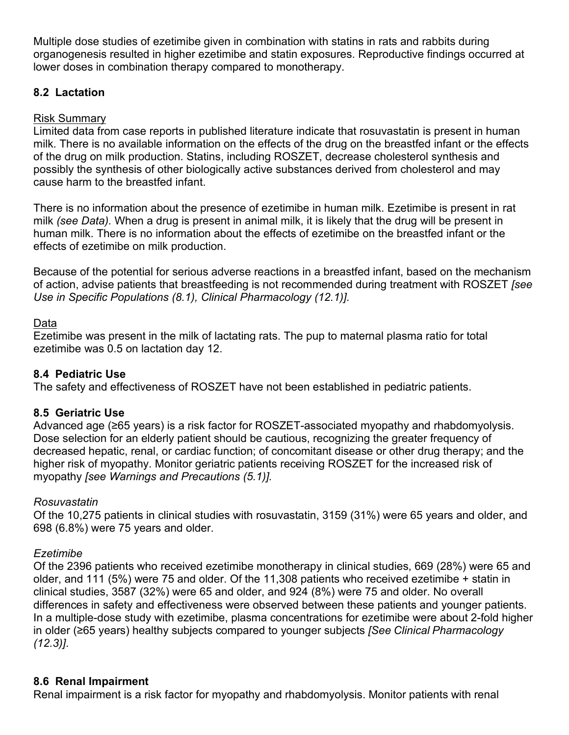Multiple dose studies of ezetimibe given in combination with statins in rats and rabbits during organogenesis resulted in higher ezetimibe and statin exposures. Reproductive findings occurred at lower doses in combination therapy compared to monotherapy.

## **8.2 Lactation**

## Risk Summary

Limited data from case reports in published literature indicate that rosuvastatin is present in human milk. There is no available information on the effects of the drug on the breastfed infant or the effects of the drug on milk production. Statins, including ROSZET, decrease cholesterol synthesis and possibly the synthesis of other biologically active substances derived from cholesterol and may cause harm to the breastfed infant.

There is no information about the presence of ezetimibe in human milk. Ezetimibe is present in rat milk *(see Data).* When a drug is present in animal milk, it is likely that the drug will be present in human milk. There is no information about the effects of ezetimibe on the breastfed infant or the effects of ezetimibe on milk production.

Because of the potential for serious adverse reactions in a breastfed infant, based on the mechanism of action, advise patients that breastfeeding is not recommended during treatment with ROSZET *[see Use in Specific Populations (8.1), Clinical Pharmacology (12.1)].*

## Data

Ezetimibe was present in the milk of lactating rats. The pup to maternal plasma ratio for total ezetimibe was 0.5 on lactation day 12.

## **8.4 Pediatric Use**

The safety and effectiveness of ROSZET have not been established in pediatric patients.

## **8.5 Geriatric Use**

Advanced age (≥65 years) is a risk factor for ROSZET-associated myopathy and rhabdomyolysis. Dose selection for an elderly patient should be cautious, recognizing the greater frequency of decreased hepatic, renal, or cardiac function; of concomitant disease or other drug therapy; and the higher risk of myopathy. Monitor geriatric patients receiving ROSZET for the increased risk of myopathy *[see Warnings and Precautions (5.1)].*

## *Rosuvastatin*

Of the 10,275 patients in clinical studies with rosuvastatin, 3159 (31%) were 65 years and older, and 698 (6.8%) were 75 years and older.

## *Ezetimibe*

Of the 2396 patients who received ezetimibe monotherapy in clinical studies, 669 (28%) were 65 and older, and 111 (5%) were 75 and older. Of the 11,308 patients who received ezetimibe + statin in clinical studies, 3587 (32%) were 65 and older, and 924 (8%) were 75 and older. No overall differences in safety and effectiveness were observed between these patients and younger patients. In a multiple-dose study with ezetimibe, plasma concentrations for ezetimibe were about 2-fold higher in older (≥65 years) healthy subjects compared to younger subjects *[See Clinical Pharmacology (12.3)]*.

#### **8.6 Renal Impairment**

Renal impairment is a risk factor for myopathy and rhabdomyolysis. Monitor patients with renal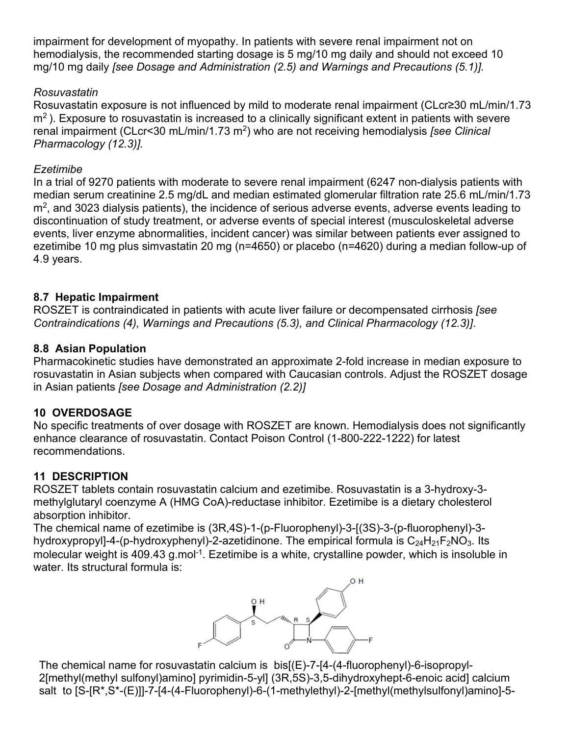impairment for development of myopathy. In patients with severe renal impairment not on hemodialysis, the recommended starting dosage is 5 mg/10 mg daily and should not exceed 10 mg/10 mg daily *[see Dosage and Administration (2.5) and Warnings and Precautions (5.1)].*

## *Rosuvastatin*

Rosuvastatin exposure is not influenced by mild to moderate renal impairment (CLcr≥30 mL/min/1.73  $m<sup>2</sup>$ ). Exposure to rosuvastatin is increased to a clinically significant extent in patients with severe renal impairment (CLcr<30 mL/min/1.73 m2) who are not receiving hemodialysis *[see Clinical Pharmacology (12.3)].*

## *Ezetimibe*

In a trial of 9270 patients with moderate to severe renal impairment (6247 non-dialysis patients with median serum creatinine 2.5 mg/dL and median estimated glomerular filtration rate 25.6 mL/min/1.73 m<sup>2</sup>, and 3023 dialysis patients), the incidence of serious adverse events, adverse events leading to discontinuation of study treatment, or adverse events of special interest (musculoskeletal adverse events, liver enzyme abnormalities, incident cancer) was similar between patients ever assigned to ezetimibe 10 mg plus simvastatin 20 mg (n=4650) or placebo (n=4620) during a median follow-up of 4.9 years.

## **8.7 Hepatic Impairment**

ROSZET is contraindicated in patients with acute liver failure or decompensated cirrhosis *[see Contraindications (4), Warnings and Precautions (5.3), and Clinical Pharmacology (12.3)]*.

## **8.8 Asian Population**

Pharmacokinetic studies have demonstrated an approximate 2-fold increase in median exposure to rosuvastatin in Asian subjects when compared with Caucasian controls. Adjust the ROSZET dosage in Asian patients *[see Dosage and Administration (2.2)]*

# **10 OVERDOSAGE**

No specific treatments of over dosage with ROSZET are known. Hemodialysis does not significantly enhance clearance of rosuvastatin. Contact Poison Control (1-800-222-1222) for latest recommendations.

## **11 DESCRIPTION**

ROSZET tablets contain rosuvastatin calcium and ezetimibe. Rosuvastatin is a 3-hydroxy-3 methylglutaryl coenzyme A (HMG CoA)-reductase inhibitor. Ezetimibe is a dietary cholesterol absorption inhibitor.

The chemical name of ezetimibe is (3R,4S)-1-(p-Fluorophenyl)-3-[(3S)-3-(p-fluorophenyl)-3 hydroxypropyl]-4-(p-hydroxyphenyl)-2-azetidinone. The empirical formula is  $C_{24}H_{21}F_2NO_3$ . Its molecular weight is 409.43 g.mol<sup>-1</sup>. Ezetimibe is a white, crystalline powder, which is insoluble in water. Its structural formula is:



The chemical name for rosuvastatin calcium is bis[(E)-7-[4-(4-fluorophenyl)-6-isopropyl-2[methyl(methyl sulfonyl)amino] pyrimidin-5-yl] (3R,5S)-3,5-dihydroxyhept-6-enoic acid] calcium salt to [S-[R\*,S\*-(E)]]-7-[4-(4-Fluorophenyl)-6-(1-methylethyl)-2-[methyl(methylsulfonyl)amino]-5-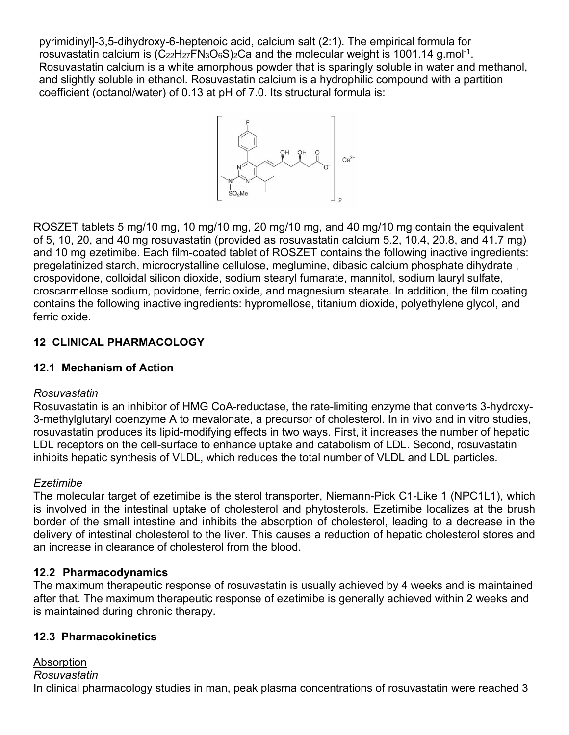pyrimidinyl]-3,5-dihydroxy-6-heptenoic acid, calcium salt (2:1). The empirical formula for rosuvastatin calcium is  $(C_{22}H_{27}FN_3O_6S)_2Ca$  and the molecular weight is 1001.14 g.mol<sup>-1</sup>. Rosuvastatin calcium is a white amorphous powder that is sparingly soluble in water and methanol, and slightly soluble in ethanol. Rosuvastatin calcium is a hydrophilic compound with a partition coefficient (octanol/water) of 0.13 at pH of 7.0. Its structural formula is:



ROSZET tablets 5 mg/10 mg, 10 mg/10 mg, 20 mg/10 mg, and 40 mg/10 mg contain the equivalent of 5, 10, 20, and 40 mg rosuvastatin (provided as rosuvastatin calcium 5.2, 10.4, 20.8, and 41.7 mg) and 10 mg ezetimibe. Each film-coated tablet of ROSZET contains the following inactive ingredients: pregelatinized starch, microcrystalline cellulose, meglumine, dibasic calcium phosphate dihydrate , crospovidone, colloidal silicon dioxide, sodium stearyl fumarate, mannitol, sodium lauryl sulfate, croscarmellose sodium, povidone, ferric oxide, and magnesium stearate. In addition, the film coating contains the following inactive ingredients: hypromellose, titanium dioxide, polyethylene glycol, and ferric oxide.

# **12 CLINICAL PHARMACOLOGY**

# **12.1 Mechanism of Action**

## *Rosuvastatin*

Rosuvastatin is an inhibitor of HMG CoA-reductase, the rate-limiting enzyme that converts 3-hydroxy-3-methylglutaryl coenzyme A to mevalonate, a precursor of cholesterol. In in vivo and in vitro studies, rosuvastatin produces its lipid-modifying effects in two ways. First, it increases the number of hepatic LDL receptors on the cell-surface to enhance uptake and catabolism of LDL. Second, rosuvastatin inhibits hepatic synthesis of VLDL, which reduces the total number of VLDL and LDL particles.

## *Ezetimibe*

The molecular target of ezetimibe is the sterol transporter, Niemann-Pick C1-Like 1 (NPC1L1), which is involved in the intestinal uptake of cholesterol and phytosterols. Ezetimibe localizes at the brush border of the small intestine and inhibits the absorption of cholesterol, leading to a decrease in the delivery of intestinal cholesterol to the liver. This causes a reduction of hepatic cholesterol stores and an increase in clearance of cholesterol from the blood.

## **12.2 Pharmacodynamics**

The maximum therapeutic response of rosuvastatin is usually achieved by 4 weeks and is maintained after that. The maximum therapeutic response of ezetimibe is generally achieved within 2 weeks and is maintained during chronic therapy.

## **12.3 Pharmacokinetics**

## Absorption *Rosuvastatin* In clinical pharmacology studies in man, peak plasma concentrations of rosuvastatin were reached 3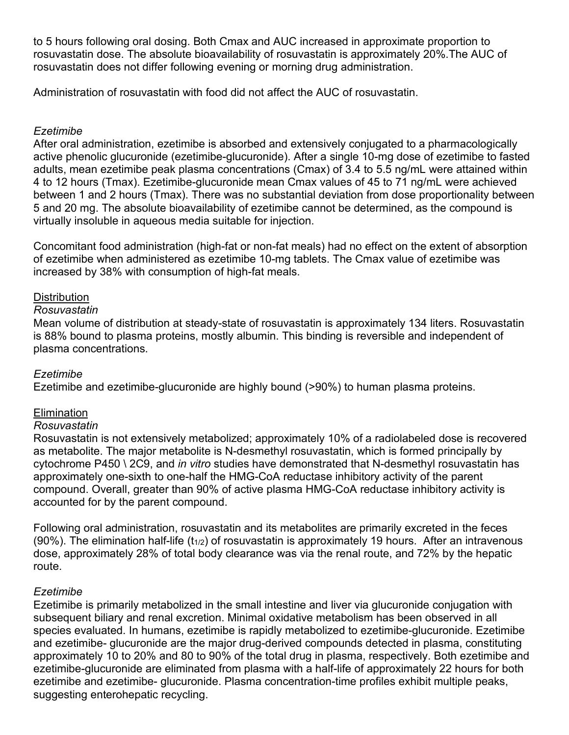to 5 hours following oral dosing. Both Cmax and AUC increased in approximate proportion to rosuvastatin dose. The absolute bioavailability of rosuvastatin is approximately 20%.The AUC of rosuvastatin does not differ following evening or morning drug administration.

Administration of rosuvastatin with food did not affect the AUC of rosuvastatin.

## *Ezetimibe*

After oral administration, ezetimibe is absorbed and extensively conjugated to a pharmacologically active phenolic glucuronide (ezetimibe-glucuronide). After a single 10-mg dose of ezetimibe to fasted adults, mean ezetimibe peak plasma concentrations (Cmax) of 3.4 to 5.5 ng/mL were attained within 4 to 12 hours (Tmax). Ezetimibe-glucuronide mean Cmax values of 45 to 71 ng/mL were achieved between 1 and 2 hours (Tmax). There was no substantial deviation from dose proportionality between 5 and 20 mg. The absolute bioavailability of ezetimibe cannot be determined, as the compound is virtually insoluble in aqueous media suitable for injection.

Concomitant food administration (high-fat or non-fat meals) had no effect on the extent of absorption of ezetimibe when administered as ezetimibe 10-mg tablets. The Cmax value of ezetimibe was increased by 38% with consumption of high-fat meals.

## **Distribution**

#### *Rosuvastatin*

Mean volume of distribution at steady-state of rosuvastatin is approximately 134 liters. Rosuvastatin is 88% bound to plasma proteins, mostly albumin. This binding is reversible and independent of plasma concentrations.

#### *Ezetimibe*

Ezetimibe and ezetimibe-glucuronide are highly bound (>90%) to human plasma proteins.

#### **Elimination**

#### *Rosuvastatin*

Rosuvastatin is not extensively metabolized; approximately 10% of a radiolabeled dose is recovered as metabolite. The major metabolite is N-desmethyl rosuvastatin, which is formed principally by cytochrome P450 \ 2C9, and *in vitro* studies have demonstrated that N-desmethyl rosuvastatin has approximately one-sixth to one-half the HMG-CoA reductase inhibitory activity of the parent compound. Overall, greater than 90% of active plasma HMG-CoA reductase inhibitory activity is accounted for by the parent compound.

Following oral administration, rosuvastatin and its metabolites are primarily excreted in the feces  $(90%)$ . The elimination half-life  $(t_{1/2})$  of rosuvastatin is approximately 19 hours. After an intravenous dose, approximately 28% of total body clearance was via the renal route, and 72% by the hepatic route.

#### *Ezetimibe*

Ezetimibe is primarily metabolized in the small intestine and liver via glucuronide conjugation with subsequent biliary and renal excretion. Minimal oxidative metabolism has been observed in all species evaluated. In humans, ezetimibe is rapidly metabolized to ezetimibe-glucuronide. Ezetimibe and ezetimibe- glucuronide are the major drug-derived compounds detected in plasma, constituting approximately 10 to 20% and 80 to 90% of the total drug in plasma, respectively. Both ezetimibe and ezetimibe-glucuronide are eliminated from plasma with a half-life of approximately 22 hours for both ezetimibe and ezetimibe- glucuronide. Plasma concentration-time profiles exhibit multiple peaks, suggesting enterohepatic recycling.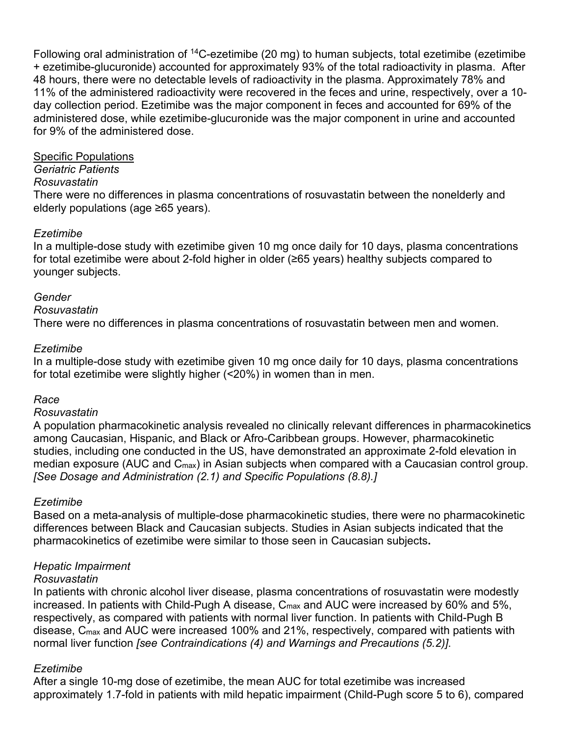Following oral administration of <sup>14</sup>C-ezetimibe (20 mg) to human subjects, total ezetimibe (ezetimibe + ezetimibe-glucuronide) accounted for approximately 93% of the total radioactivity in plasma. After 48 hours, there were no detectable levels of radioactivity in the plasma. Approximately 78% and 11% of the administered radioactivity were recovered in the feces and urine, respectively, over a 10 day collection period. Ezetimibe was the major component in feces and accounted for 69% of the administered dose, while ezetimibe-glucuronide was the major component in urine and accounted for 9% of the administered dose.

#### Specific Populations

#### *Geriatric Patients*

#### *Rosuvastatin*

There were no differences in plasma concentrations of rosuvastatin between the nonelderly and elderly populations (age ≥65 years).

#### *Ezetimibe*

In a multiple-dose study with ezetimibe given 10 mg once daily for 10 days, plasma concentrations for total ezetimibe were about 2-fold higher in older (≥65 years) healthy subjects compared to younger subjects.

#### *Gender*

#### *Rosuvastatin*

There were no differences in plasma concentrations of rosuvastatin between men and women.

#### *Ezetimibe*

In a multiple-dose study with ezetimibe given 10 mg once daily for 10 days, plasma concentrations for total ezetimibe were slightly higher (<20%) in women than in men.

#### *Race*

#### *Rosuvastatin*

A population pharmacokinetic analysis revealed no clinically relevant differences in pharmacokinetics among Caucasian, Hispanic, and Black or Afro-Caribbean groups. However, pharmacokinetic studies, including one conducted in the US, have demonstrated an approximate 2-fold elevation in median exposure (AUC and C<sub>max</sub>) in Asian subjects when compared with a Caucasian control group. *[See Dosage and Administration (2.1) and Specific Populations (8.8).]*

#### *Ezetimibe*

Based on a meta-analysis of multiple-dose pharmacokinetic studies, there were no pharmacokinetic differences between Black and Caucasian subjects. Studies in Asian subjects indicated that the pharmacokinetics of ezetimibe were similar to those seen in Caucasian subjects**.**

#### *Hepatic Impairment*

#### *Rosuvastatin*

In patients with chronic alcohol liver disease, plasma concentrations of rosuvastatin were modestly increased. In patients with Child-Pugh A disease, C<sub>max</sub> and AUC were increased by 60% and 5%, respectively, as compared with patients with normal liver function. In patients with Child-Pugh B disease, C<sub>max</sub> and AUC were increased 100% and 21%, respectively, compared with patients with normal liver function *[see Contraindications (4) and Warnings and Precautions (5.2)]*.

#### *Ezetimibe*

After a single 10-mg dose of ezetimibe, the mean AUC for total ezetimibe was increased approximately 1.7-fold in patients with mild hepatic impairment (Child-Pugh score 5 to 6), compared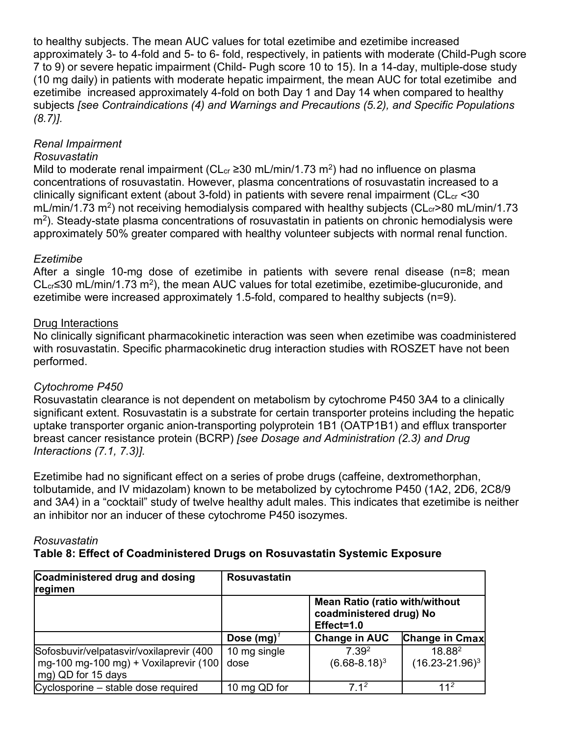to healthy subjects. The mean AUC values for total ezetimibe and ezetimibe increased approximately 3- to 4-fold and 5- to 6- fold, respectively, in patients with moderate (Child-Pugh score 7 to 9) or severe hepatic impairment (Child- Pugh score 10 to 15). In a 14-day, multiple-dose study (10 mg daily) in patients with moderate hepatic impairment, the mean AUC for total ezetimibe and ezetimibe increased approximately 4-fold on both Day 1 and Day 14 when compared to healthy subjects *[see Contraindications (4) and Warnings and Precautions (5.2), and Specific Populations (8.7)].*

## *Renal Impairment*

## *Rosuvastatin*

Mild to moderate renal impairment (CL<sub>cr</sub> ≥30 mL/min/1.73 m<sup>2</sup>) had no influence on plasma concentrations of rosuvastatin. However, plasma concentrations of rosuvastatin increased to a clinically significant extent (about 3-fold) in patients with severe renal impairment ( $CL<sub>cr</sub>$  <30 mL/min/1.73 m<sup>2</sup>) not receiving hemodialysis compared with healthy subjects ( $CL<sub>cr</sub> > 80$  mL/min/1.73  $\mathrm{m}^2$ ). Steady-state plasma concentrations of rosuvastatin in patients on chronic hemodialysis were approximately 50% greater compared with healthy volunteer subjects with normal renal function.

## *Ezetimibe*

After a single 10-mg dose of ezetimibe in patients with severe renal disease (n=8; mean CL<sub>cr</sub>≤30 mL/min/1.73 m<sup>2</sup>), the mean AUC values for total ezetimibe, ezetimibe-glucuronide, and ezetimibe were increased approximately 1.5-fold, compared to healthy subjects (n=9).

## Drug Interactions

No clinically significant pharmacokinetic interaction was seen when ezetimibe was coadministered with rosuvastatin. Specific pharmacokinetic drug interaction studies with ROSZET have not been performed.

## *Cytochrome P450*

Rosuvastatin clearance is not dependent on metabolism by cytochrome P450 3A4 to a clinically significant extent. Rosuvastatin is a substrate for certain transporter proteins including the hepatic uptake transporter organic anion-transporting polyprotein 1B1 (OATP1B1) and efflux transporter breast cancer resistance protein (BCRP) *[see Dosage and Administration (2.3) and Drug Interactions (7.1, 7.3)].*

Ezetimibe had no significant effect on a series of probe drugs (caffeine, dextromethorphan, tolbutamide, and IV midazolam) known to be metabolized by cytochrome P450 (1A2, 2D6, 2C8/9 and 3A4) in a "cocktail" study of twelve healthy adult males. This indicates that ezetimibe is neither an inhibitor nor an inducer of these cytochrome P450 isozymes.

#### *Rosuvastatin* **Table 8: Effect of Coadministered Drugs on Rosuvastatin Systemic Exposure**

| Coadministered drug and dosing<br>regimen        | <b>Rosuvastatin</b> |                                                                                |                       |
|--------------------------------------------------|---------------------|--------------------------------------------------------------------------------|-----------------------|
|                                                  |                     | <b>Mean Ratio (ratio with/without</b><br>coadministered drug) No<br>Effect=1.0 |                       |
|                                                  | Dose $(mg)^{7}$     | <b>Change in AUC</b>                                                           | <b>Change in Cmax</b> |
| Sofosbuvir/velpatasvir/voxilaprevir (400         | 10 mg single        | 7.39 <sup>2</sup>                                                              | 18.882                |
| l mg-100 mg-100 mg) + Voxilaprevir (100 <b> </b> | dose                | $(6.68 - 8.18)^3$                                                              | $(16.23 - 21.96)^3$   |
| mg) QD for 15 days                               |                     |                                                                                |                       |
| Cyclosporine – stable dose required              | 10 mg QD for        | $7.1^2$                                                                        | $11^2$                |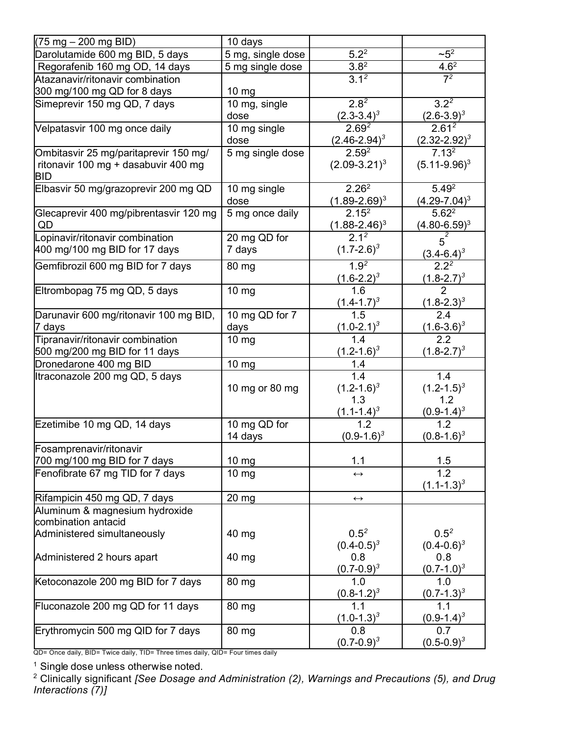| (75 mg – 200 mg BID)                   | 10 days           |                                |                                                         |
|----------------------------------------|-------------------|--------------------------------|---------------------------------------------------------|
| Darolutamide 600 mg BID, 5 days        | 5 mg, single dose | $5.2^2$                        | $~25^2$                                                 |
| Regorafenib 160 mg OD, 14 days         | 5 mg single dose  | $3.8^{2}$                      | $\frac{4.6^2}{7^2}$                                     |
| Atazanavir/ritonavir combination       |                   | $3.1^{2}$                      |                                                         |
| 300 mg/100 mg QD for 8 days            | $10 \, \text{mg}$ |                                |                                                         |
| Simeprevir 150 mg QD, 7 days           | 10 mg, single     | $2.8^{2}$                      | $3.2^{2}$                                               |
|                                        | dose              | $\frac{(2.3-3.4)^3}{2.69^2}$   | $\frac{(2.6-3.9)^3}{2.61^2}$                            |
| Velpatasvir 100 mg once daily          | 10 mg single      |                                |                                                         |
|                                        | dose              | $\frac{(2.46-2.94)^3}{2.59^2}$ | $\frac{(2.32-2.92)^3}{7.13^2}$                          |
| Ombitasvir 25 mg/paritaprevir 150 mg/  | 5 mg single dose  |                                |                                                         |
| ritonavir 100 mg + dasabuvir 400 mg    |                   | $(2.09 - 3.21)^3$              | $(5.11-9.96)^3$                                         |
| <b>BID</b>                             |                   |                                |                                                         |
| Elbasvir 50 mg/grazoprevir 200 mg QD   | 10 mg single      | 2.26 <sup>2</sup>              | $5.49^{2}$                                              |
|                                        | dose              | $\frac{(1.89-2.69)^3}{2.15^2}$ | $\frac{(4.29-7.04)^3}{5.62^2}$                          |
| Glecaprevir 400 mg/pibrentasvir 120 mg | 5 mg once daily   |                                |                                                         |
| QD                                     |                   | $\frac{(1.88-2.46)^3}{2.1^2}$  |                                                         |
| Lopinavir/ritonavir combination        | 20 mg QD for      |                                | $\frac{(4.80-6.59)^3}{5^2}$ $\frac{(3.4-6.4)^3}{2.2^2}$ |
| 400 mg/100 mg BID for 17 days          | 7 days            | $(1.7 - 2.6)^3$                |                                                         |
| Gemfibrozil 600 mg BID for 7 days      | 80 mg             | $1.9^{2}$                      |                                                         |
|                                        |                   | $\frac{(1.6-2.2)^3}{1.6}$      | $\frac{(1.8-2.7)^3}{2}$                                 |
| Eltrombopag 75 mg QD, 5 days           | $10 \text{ mg}$   |                                |                                                         |
|                                        |                   | $\frac{(1.4-1.7)^3}{1.5}$      | $\frac{(-1.8-2.3)^3}{2.4}$                              |
| Darunavir 600 mg/ritonavir 100 mg BID, | 10 mg QD for 7    |                                |                                                         |
| 7 days                                 | days              | $\frac{(1.0-2.1)^3}{1.4}$      | $\frac{(1.6-3.6)^3}{2.2}$                               |
| Tipranavir/ritonavir combination       | $10 \text{ mg}$   |                                |                                                         |
| 500 mg/200 mg BID for 11 days          |                   | $(1.2 - 1.6)^3$                | $(1.8 - 2.7)^3$                                         |
| Dronedarone 400 mg BID                 | $10 \, mg$        | 1.4                            |                                                         |
| Itraconazole 200 mg QD, 5 days         |                   | 1.4                            | 1.4                                                     |
|                                        | 10 mg or 80 mg    | $(1.2 - 1.6)^3$                | $(1.2 - 1.5)^3$                                         |
|                                        |                   | 1.3                            | 1.2                                                     |
|                                        |                   | $\frac{(1.1-1.4)^3}{1.2}$      | $\frac{(0.9-1.4)^3}{1.2}$                               |
| Ezetimibe 10 mg QD, 14 days            | 10 mg QD for      |                                |                                                         |
| Fosamprenavir/ritonavir                | 14 days           | $(0.9 - 1.6)^3$                | $(0.8-1.6)^3$                                           |
| 700 mg/100 mg BID for 7 days           | 10 mg             | 1.1                            | 1.5                                                     |
| Fenofibrate 67 mg TID for 7 days       | $10 \text{ mg}$   | $\leftrightarrow$              | 1.2                                                     |
|                                        |                   |                                | $(1.1 - 1.3)^3$                                         |
| Rifampicin 450 mg QD, 7 days           | $20 \, mg$        | $\longleftrightarrow$          |                                                         |
| Aluminum & magnesium hydroxide         |                   |                                |                                                         |
| combination antacid                    |                   |                                |                                                         |
| Administered simultaneously            | 40 mg             | $0.5^2$                        | $0.5^2$                                                 |
|                                        |                   | $(0.4 - 0.5)^3$                | $(0.4 - 0.6)^3$                                         |
| Administered 2 hours apart             | 40 mg             | 0.8                            | 0.8                                                     |
|                                        |                   | $(0.7 - 0.9)^3$                | $(0.7-1.0)^3$                                           |
| Ketoconazole 200 mg BID for 7 days     | 80 mg             | 1.0                            | 1.0                                                     |
|                                        |                   | $(0.8-1.2)^3$                  | $(0.7-1.3)^3$                                           |
| Fluconazole 200 mg QD for 11 days      | 80 mg             | 1.1                            | 1.1                                                     |
|                                        |                   | $(1.0-1.3)^3$                  | $(0.9-1.4)^3$                                           |
| Erythromycin 500 mg QID for 7 days     | 80 mg             | 0.8                            | 0.7                                                     |
|                                        |                   | $(0.7 - 0.9)^3$                | $(0.5-0.9)^3$                                           |

QD= Once daily, BID= Twice daily, TID= Three times daily, QID= Four times daily

 $1$  Single dose unless otherwise noted.

<sup>2</sup> Clinically significant *[See Dosage and Administration (2), Warnings and Precautions (5), and Drug Interactions (7)]*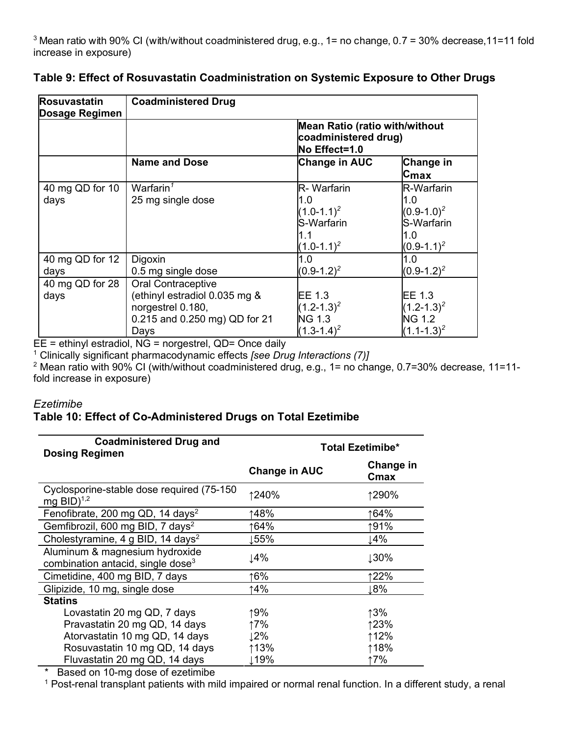| Rosuvastatin<br>Dosage Regimen | <b>Coadministered Drug</b>                                                                                               |                                                                                      |                                                                          |
|--------------------------------|--------------------------------------------------------------------------------------------------------------------------|--------------------------------------------------------------------------------------|--------------------------------------------------------------------------|
|                                |                                                                                                                          | <b>Mean Ratio (ratio with/without</b><br>coadministered drug)<br>No Effect=1.0       |                                                                          |
|                                | <b>Name and Dose</b>                                                                                                     | <b>Change in AUC</b>                                                                 | <b>Change in</b><br>Cmax                                                 |
| 40 mg QD for 10<br>days        | Warfarin $1$<br>25 mg single dose                                                                                        | <b>R</b> -Warfarin<br>1.0<br>$(1.0 - 1.1)^2$<br>S-Warfarin<br>1.1<br>$(1.0 - 1.1)^2$ | R-Warfarin<br>1.0<br>$(0.9-1.0)^2$<br>S-Warfarin<br>1.0<br>$(0.9-1.1)^2$ |
| 40 mg QD for 12<br>days        | Digoxin<br>0.5 mg single dose                                                                                            | 1.0<br>$(0.9-1.2)^2$                                                                 | 1.0<br>$(0.9-1.2)^2$                                                     |
| 40 mg QD for 28<br>days        | <b>Oral Contraceptive</b><br>(ethinyl estradiol 0.035 mg &<br>norgestrel 0.180,<br>0.215 and 0.250 mg) QD for 21<br>Days | EE 1.3<br>$(1.2 - 1.3)^2$<br><b>NG 1.3</b><br>$(1.3 - 1.4)^2$                        | EE 1.3<br>$(1.2 - 1.3)^2$<br><b>NG 1.2</b><br>$(1.1 - 1.3)^2$            |

## **Table 9: Effect of Rosuvastatin Coadministration on Systemic Exposure to Other Drugs**

EE = ethinyl estradiol, NG = norgestrel, QD= Once daily

<sup>1</sup> Clinically significant pharmacodynamic effects *[see Drug Interactions (7)]*

 $2$  Mean ratio with 90% CI (with/without coadministered drug, e.g., 1= no change, 0.7=30% decrease, 11=11fold increase in exposure)

#### *Ezetimibe*

## **Table 10: Effect of Co-Administered Drugs on Total Ezetimibe**

| <b>Coadministered Drug and</b><br><b>Dosing Regimen</b>                         | <b>Total Ezetimibe*</b> |                   |  |
|---------------------------------------------------------------------------------|-------------------------|-------------------|--|
|                                                                                 | <b>Change in AUC</b>    | Change in<br>Cmax |  |
| Cyclosporine-stable dose required (75-150<br>mg $BID$ <sup>1,2</sup>            | ↑240%                   | ↑290%             |  |
| Fenofibrate, 200 mg QD, 14 days <sup>2</sup>                                    | 148%                    | ↑64%              |  |
| Gemfibrozil, 600 mg BID, 7 days <sup>2</sup>                                    | 164%                    | ↑91%              |  |
| Cholestyramine, 4 g BID, 14 days <sup>2</sup>                                   | ⊥55%                    | 14%               |  |
| Aluminum & magnesium hydroxide<br>combination antacid, single dose <sup>3</sup> | ⊥4%                     | 130%              |  |
| Cimetidine, 400 mg BID, 7 days                                                  | 16%                     | 122%              |  |
| Glipizide, 10 mg, single dose                                                   | ↑4%                     | ⊥8%               |  |
| <b>Statins</b>                                                                  |                         |                   |  |
| Lovastatin 20 mg QD, 7 days                                                     | ↑9%                     | ↑3%               |  |
| Pravastatin 20 mg QD, 14 days                                                   | ↑7%                     | ↑23%              |  |
| Atorvastatin 10 mg QD, 14 days                                                  | 12%                     | ↑12%              |  |
| Rosuvastatin 10 mg QD, 14 days                                                  | ↑13%                    | ↑18%              |  |
| Fluvastatin 20 mg QD, 14 days                                                   | ⊥19%                    | ↑7%               |  |

\* Based on 10-mg dose of ezetimibe

<sup>1</sup> Post-renal transplant patients with mild impaired or normal renal function. In a different study, a renal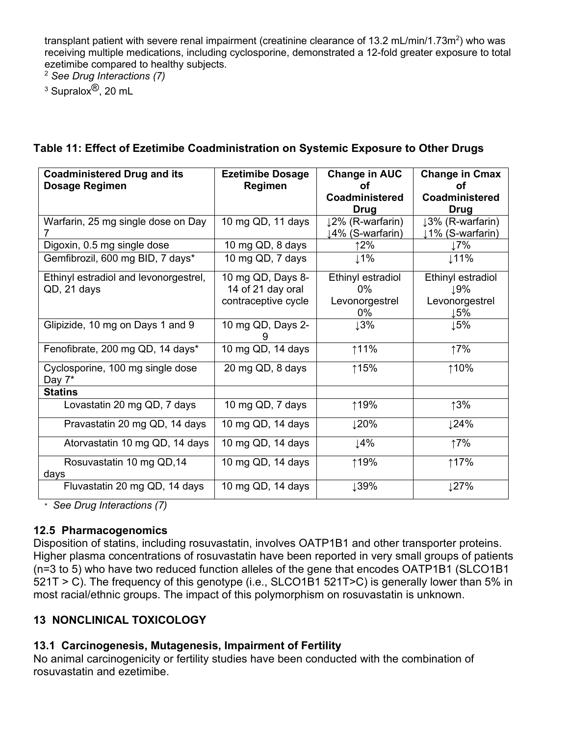transplant patient with severe renal impairment (creatinine clearance of 13.2 mL/min/1.73m<sup>2</sup>) who was receiving multiple medications, including cyclosporine, demonstrated a 12-fold greater exposure to total ezetimibe compared to healthy subjects.

<sup>2</sup> *See Drug Interactions (7)*

 $3$  Supralox $^{\circledR}$ , 20 mL

| <b>Coadministered Drug and its</b><br><b>Dosage Regimen</b> | <b>Ezetimibe Dosage</b><br><b>Regimen</b> | <b>Change in AUC</b><br>Ωf<br>Coadministered<br>Drug | <b>Change in Cmax</b><br>Ωf<br>Coadministered<br>Drug |
|-------------------------------------------------------------|-------------------------------------------|------------------------------------------------------|-------------------------------------------------------|
| Warfarin, 25 mg single dose on Day                          | 10 mg QD, 11 days                         | 12% (R-warfarin)                                     | 13% (R-warfarin)                                      |
|                                                             |                                           | 14% (S-warfarin)                                     | ↓1% (S-warfarin)                                      |
| Digoxin, 0.5 mg single dose                                 | 10 mg QD, 8 days                          | ↑2%                                                  | Լ7%                                                   |
| Gemfibrozil, 600 mg BID, 7 days*                            | 10 mg QD, 7 days                          | Լ1%                                                  | ⊥11%                                                  |
| Ethinyl estradiol and levonorgestrel,                       | 10 mg QD, Days 8-                         | Ethinyl estradiol                                    | Ethinyl estradiol                                     |
| QD, 21 days                                                 | 14 of 21 day oral                         | $0\%$                                                | 19%                                                   |
|                                                             | contraceptive cycle                       | Levonorgestrel                                       | Levonorgestrel                                        |
|                                                             |                                           | 0%                                                   | ↓5%                                                   |
| Glipizide, 10 mg on Days 1 and 9                            | 10 mg QD, Days 2-<br>9                    | 13%                                                  | 15%                                                   |
| Fenofibrate, 200 mg QD, 14 days*                            | 10 mg QD, 14 days                         | ↑11%                                                 | ↑7%                                                   |
| Cyclosporine, 100 mg single dose<br>Day 7*                  | 20 mg QD, 8 days                          | ↑15%                                                 | ↑10%                                                  |
| <b>Statins</b>                                              |                                           |                                                      |                                                       |
| Lovastatin 20 mg QD, 7 days                                 | 10 mg QD, 7 days                          | ↑19%                                                 | ↑3%                                                   |
| Pravastatin 20 mg QD, 14 days                               | 10 mg QD, 14 days                         | ↓20%                                                 | 124%                                                  |
| Atorvastatin 10 mg QD, 14 days                              | 10 mg QD, 14 days                         | ⊥4%                                                  | ↑7%                                                   |
| Rosuvastatin 10 mg QD,14<br>days                            | 10 mg QD, 14 days                         | ↑19%                                                 | ↑17%                                                  |
| Fluvastatin 20 mg QD, 14 days                               | 10 mg QD, 14 days                         | ↓39%                                                 | 127%                                                  |

# **Table 11: Effect of Ezetimibe Coadministration on Systemic Exposure to Other Drugs**

\* *See Drug Interactions (7)*

## **12.5 Pharmacogenomics**

Disposition of statins, including rosuvastatin, involves OATP1B1 and other transporter proteins. Higher plasma concentrations of rosuvastatin have been reported in very small groups of patients (n=3 to 5) who have two reduced function alleles of the gene that encodes OATP1B1 (SLCO1B1 521T > C). The frequency of this genotype (i.e., SLCO1B1 521T>C) is generally lower than 5% in most racial/ethnic groups. The impact of this polymorphism on rosuvastatin is unknown.

# **13 NONCLINICAL TOXICOLOGY**

# **13.1 Carcinogenesis, Mutagenesis, Impairment of Fertility**

No animal carcinogenicity or fertility studies have been conducted with the combination of rosuvastatin and ezetimibe.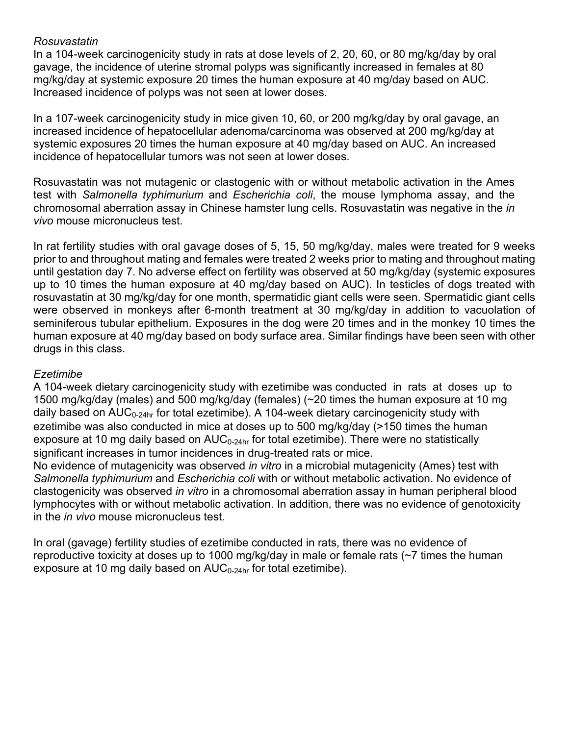#### *Rosuvastatin*

In a 104-week carcinogenicity study in rats at dose levels of 2, 20, 60, or 80 mg/kg/day by oral gavage, the incidence of uterine stromal polyps was significantly increased in females at 80 mg/kg/day at systemic exposure 20 times the human exposure at 40 mg/day based on AUC. Increased incidence of polyps was not seen at lower doses.

In a 107-week carcinogenicity study in mice given 10, 60, or 200 mg/kg/day by oral gavage, an increased incidence of hepatocellular adenoma/carcinoma was observed at 200 mg/kg/day at systemic exposures 20 times the human exposure at 40 mg/day based on AUC. An increased incidence of hepatocellular tumors was not seen at lower doses.

Rosuvastatin was not mutagenic or clastogenic with or without metabolic activation in the Ames test with *Salmonella typhimurium* and *Escherichia coli*, the mouse lymphoma assay, and the chromosomal aberration assay in Chinese hamster lung cells. Rosuvastatin was negative in the *in vivo* mouse micronucleus test.

In rat fertility studies with oral gavage doses of 5, 15, 50 mg/kg/day, males were treated for 9 weeks prior to and throughout mating and females were treated 2 weeks prior to mating and throughout mating until gestation day 7. No adverse effect on fertility was observed at 50 mg/kg/day (systemic exposures up to 10 times the human exposure at 40 mg/day based on AUC). In testicles of dogs treated with rosuvastatin at 30 mg/kg/day for one month, spermatidic giant cells were seen. Spermatidic giant cells were observed in monkeys after 6-month treatment at 30 mg/kg/day in addition to vacuolation of seminiferous tubular epithelium. Exposures in the dog were 20 times and in the monkey 10 times the human exposure at 40 mg/day based on body surface area. Similar findings have been seen with other drugs in this class.

#### *Ezetimibe*

A 104-week dietary carcinogenicity study with ezetimibe was conducted in rats at doses up to 1500 mg/kg/day (males) and 500 mg/kg/day (females) (~20 times the human exposure at 10 mg daily based on  $AUC_{0-24hr}$  for total ezetimibe). A 104-week dietary carcinogenicity study with ezetimibe was also conducted in mice at doses up to 500 mg/kg/day (>150 times the human exposure at 10 mg daily based on  $AUC_{0.24hr}$  for total ezetimibe). There were no statistically significant increases in tumor incidences in drug-treated rats or mice.

No evidence of mutagenicity was observed *in vitro* in a microbial mutagenicity (Ames) test with *Salmonella typhimurium* and *Escherichia coli* with or without metabolic activation. No evidence of clastogenicity was observed *in vitro* in a chromosomal aberration assay in human peripheral blood lymphocytes with or without metabolic activation. In addition, there was no evidence of genotoxicity in the *in vivo* mouse micronucleus test.

In oral (gavage) fertility studies of ezetimibe conducted in rats, there was no evidence of reproductive toxicity at doses up to 1000 mg/kg/day in male or female rats (~7 times the human exposure at 10 mg daily based on  $AUC_{0-24hr}$  for total ezetimibe).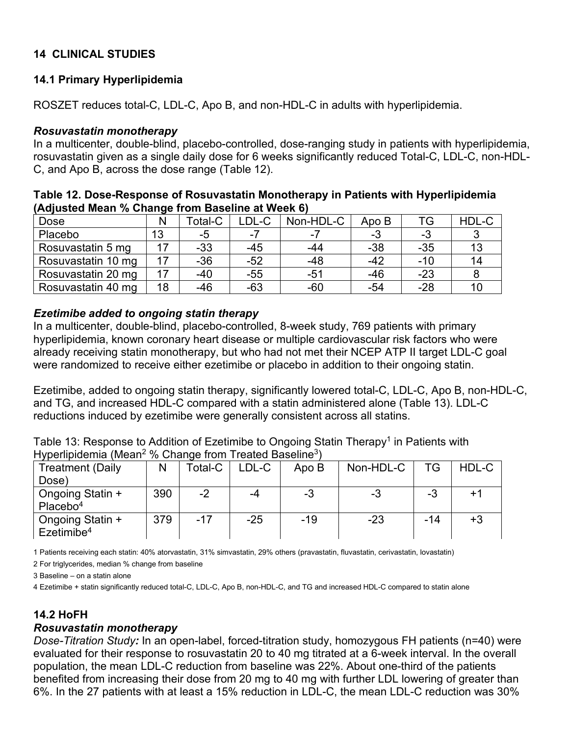## **14 CLINICAL STUDIES**

## **14.1 Primary Hyperlipidemia**

ROSZET reduces total-C, LDL-C, Apo B, and non-HDL-C in adults with hyperlipidemia.

#### *Rosuvastatin monotherapy*

In a multicenter, double-blind, placebo-controlled, dose-ranging study in patients with hyperlipidemia, rosuvastatin given as a single daily dose for 6 weeks significantly reduced Total-C, LDL-C, non-HDL-C, and Apo B, across the dose range (Table 12).

| Table 12. Dose-Response of Rosuvastatin Monotherapy in Patients with Hyperlipidemia |
|-------------------------------------------------------------------------------------|
| (Adjusted Mean % Change from Baseline at Week 6)                                    |

| Dose               | N  | Гоtal-C | LDL-C | Non-HDL-C                | Apo B | TG    | HDL-C |
|--------------------|----|---------|-------|--------------------------|-------|-------|-------|
| Placebo            | 13 | -5      | $-7$  | $\overline{\phantom{0}}$ | -3    | -3    |       |
| Rosuvastatin 5 mg  |    | $-33$   | $-45$ | -44                      | $-38$ | $-35$ |       |
| Rosuvastatin 10 mg |    | $-36$   | $-52$ | $-48$                    | $-42$ | $-10$ |       |
| Rosuvastatin 20 mg |    | -40     | $-55$ | -51                      | $-46$ | $-23$ |       |
| Rosuvastatin 40 mg | 18 | $-46$   | $-63$ | $-60$                    | $-54$ | $-28$ |       |

## *Ezetimibe added to ongoing statin therapy*

In a multicenter, double-blind, placebo-controlled, 8-week study, 769 patients with primary hyperlipidemia, known coronary heart disease or multiple cardiovascular risk factors who were already receiving statin monotherapy, but who had not met their NCEP ATP II target LDL-C goal were randomized to receive either ezetimibe or placebo in addition to their ongoing statin.

Ezetimibe, added to ongoing statin therapy, significantly lowered total-C, LDL-C, Apo B, non-HDL-C, and TG, and increased HDL-C compared with a statin administered alone (Table 13). LDL-C reductions induced by ezetimibe were generally consistent across all statins.

Table 13: Response to Addition of Ezetimibe to Ongoing Statin Therapy<sup>1</sup> in Patients with Hyperlipidemia (Mean<sup>2</sup> % Change from Treated Baseline<sup>3</sup>)

| <b>Treatment (Daily</b>                               | N   | Total-C | LDL-C | Apo B | Non-HDL-C | TG    | HDL-C |
|-------------------------------------------------------|-----|---------|-------|-------|-----------|-------|-------|
| Dose)                                                 |     |         |       |       |           |       |       |
| <sup>1</sup> Ongoing Statin +<br>Placebo <sup>4</sup> | 390 | $-2$    | -4    | -3    | -3        | -3    |       |
| Ongoing Statin +<br>$E$ zetimibe <sup>4</sup>         | 379 | $-17$   | $-25$ | $-19$ | $-23$     | $-14$ | $+3$  |

1 Patients receiving each statin: 40% atorvastatin, 31% simvastatin, 29% others (pravastatin, fluvastatin, cerivastatin, lovastatin)

2 For triglycerides, median % change from baseline

3 Baseline – on a statin alone

4 Ezetimibe + statin significantly reduced total-C, LDL-C, Apo B, non-HDL-C, and TG and increased HDL-C compared to statin alone

## **14.2 HoFH**

#### *Rosuvastatin monotherapy*

*Dose-Titration Study:* In an open-label, forced-titration study, homozygous FH patients (n=40) were evaluated for their response to rosuvastatin 20 to 40 mg titrated at a 6-week interval. In the overall population, the mean LDL-C reduction from baseline was 22%. About one-third of the patients benefited from increasing their dose from 20 mg to 40 mg with further LDL lowering of greater than 6%. In the 27 patients with at least a 15% reduction in LDL-C, the mean LDL-C reduction was 30%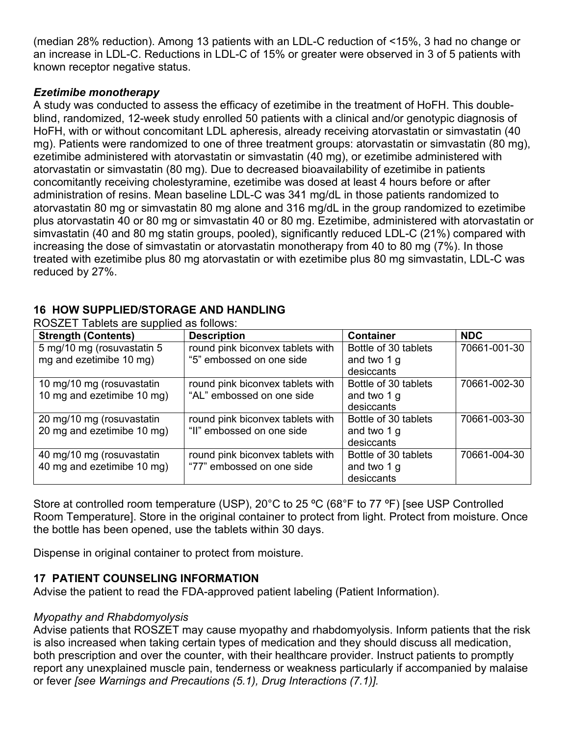(median 28% reduction). Among 13 patients with an LDL-C reduction of <15%, 3 had no change or an increase in LDL-C. Reductions in LDL-C of 15% or greater were observed in 3 of 5 patients with known receptor negative status.

## *Ezetimibe monotherapy*

A study was conducted to assess the efficacy of ezetimibe in the treatment of HoFH. This doubleblind, randomized, 12-week study enrolled 50 patients with a clinical and/or genotypic diagnosis of HoFH, with or without concomitant LDL apheresis, already receiving atorvastatin or simvastatin (40 mg). Patients were randomized to one of three treatment groups: atorvastatin or simvastatin (80 mg), ezetimibe administered with atorvastatin or simvastatin (40 mg), or ezetimibe administered with atorvastatin or simvastatin (80 mg). Due to decreased bioavailability of ezetimibe in patients concomitantly receiving cholestyramine, ezetimibe was dosed at least 4 hours before or after administration of resins. Mean baseline LDL-C was 341 mg/dL in those patients randomized to atorvastatin 80 mg or simvastatin 80 mg alone and 316 mg/dL in the group randomized to ezetimibe plus atorvastatin 40 or 80 mg or simvastatin 40 or 80 mg. Ezetimibe, administered with atorvastatin or simvastatin (40 and 80 mg statin groups, pooled), significantly reduced LDL-C (21%) compared with increasing the dose of simvastatin or atorvastatin monotherapy from 40 to 80 mg (7%). In those treated with ezetimibe plus 80 mg atorvastatin or with ezetimibe plus 80 mg simvastatin, LDL-C was reduced by 27%.

## **16 HOW SUPPLIED/STORAGE AND HANDLING**

| <b>Strength (Contents)</b> | <b>Description</b>               | <b>Container</b>     | <b>NDC</b>   |
|----------------------------|----------------------------------|----------------------|--------------|
| 5 mg/10 mg (rosuvastatin 5 | round pink biconvex tablets with | Bottle of 30 tablets | 70661-001-30 |
| mg and ezetimibe 10 mg)    | "5" embossed on one side         | and two 1 g          |              |
|                            |                                  | desiccants           |              |
| 10 mg/10 mg (rosuvastatin  | round pink biconvex tablets with | Bottle of 30 tablets | 70661-002-30 |
| 10 mg and ezetimibe 10 mg) | "AL" embossed on one side        | and two 1 g          |              |
|                            |                                  | desiccants           |              |
| 20 mg/10 mg (rosuvastatin  | round pink biconvex tablets with | Bottle of 30 tablets | 70661-003-30 |
| 20 mg and ezetimibe 10 mg) | "II" embossed on one side        | and two 1 g          |              |
|                            |                                  | desiccants           |              |
| 40 mg/10 mg (rosuvastatin  | round pink biconvex tablets with | Bottle of 30 tablets | 70661-004-30 |
| 40 mg and ezetimibe 10 mg) | "77" embossed on one side        | and two 1 g          |              |
|                            |                                  | desiccants           |              |

ROSZET Tablets are supplied as follows:

Store at controlled room temperature (USP), 20°C to 25 ºC (68°F to 77 ºF) [see USP Controlled Room Temperature]. Store in the original container to protect from light. Protect from moisture. Once the bottle has been opened, use the tablets within 30 days.

Dispense in original container to protect from moisture.

# **17 PATIENT COUNSELING INFORMATION**

Advise the patient to read the FDA-approved patient labeling (Patient Information).

## *Myopathy and Rhabdomyolysis*

Advise patients that ROSZET may cause myopathy and rhabdomyolysis. Inform patients that the risk is also increased when taking certain types of medication and they should discuss all medication, both prescription and over the counter, with their healthcare provider. Instruct patients to promptly report any unexplained muscle pain, tenderness or weakness particularly if accompanied by malaise or fever *[see Warnings and Precautions (5.1), Drug Interactions (7.1)].*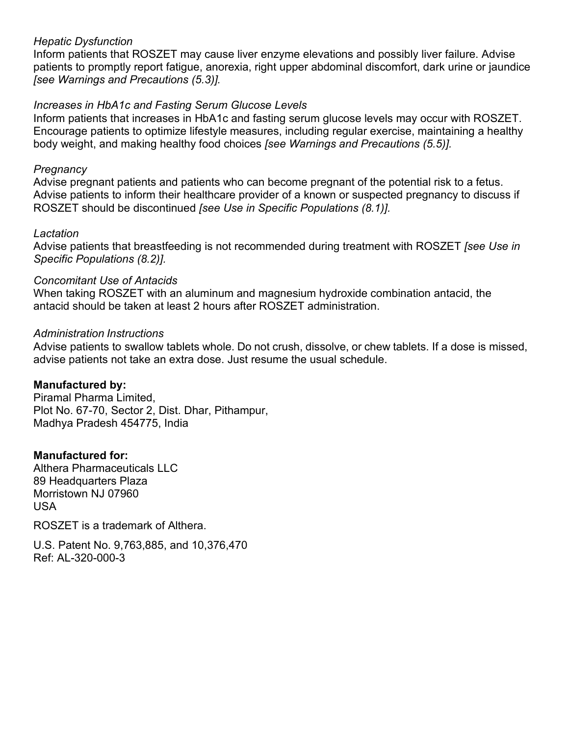#### *Hepatic Dysfunction*

Inform patients that ROSZET may cause liver enzyme elevations and possibly liver failure. Advise patients to promptly report fatigue, anorexia, right upper abdominal discomfort, dark urine or jaundice *[see Warnings and Precautions (5.3)].*

#### *Increases in HbA1c and Fasting Serum Glucose Levels*

Inform patients that increases in HbA1c and fasting serum glucose levels may occur with ROSZET. Encourage patients to optimize lifestyle measures, including regular exercise, maintaining a healthy body weight, and making healthy food choices *[see Warnings and Precautions (5.5)].*

#### *Pregnancy*

Advise pregnant patients and patients who can become pregnant of the potential risk to a fetus. Advise patients to inform their healthcare provider of a known or suspected pregnancy to discuss if ROSZET should be discontinued *[see Use in Specific Populations (8.1)].*

#### *Lactation*

Advise patients that breastfeeding is not recommended during treatment with ROSZET *[see Use in Specific Populations (8.2)].*

#### *Concomitant Use of Antacids*

When taking ROSZET with an aluminum and magnesium hydroxide combination antacid, the antacid should be taken at least 2 hours after ROSZET administration.

#### *Administration Instructions*

Advise patients to swallow tablets whole. Do not crush, dissolve, or chew tablets. If a dose is missed, advise patients not take an extra dose. Just resume the usual schedule.

#### **Manufactured by:**

Piramal Pharma Limited, Plot No. 67-70, Sector 2, Dist. Dhar, Pithampur, Madhya Pradesh 454775, India

#### **Manufactured for:**

Althera Pharmaceuticals LLC 89 Headquarters Plaza Morristown NJ 07960 USA

ROSZET is a trademark of Althera.

U.S. Patent No. 9,763,885, and 10,376,470 Ref: AL-320-000-3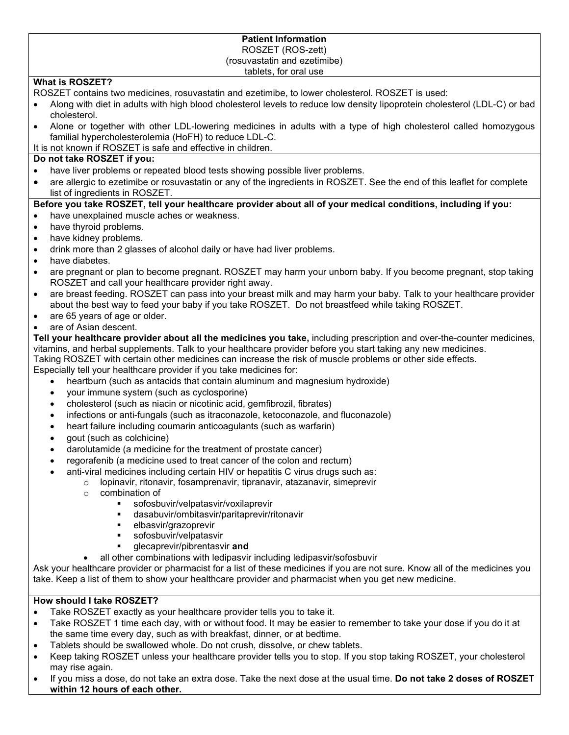#### **Patient Information** ROSZET (ROS-zett) (rosuvastatin and ezetimibe) tablets, for oral use

#### **What is ROSZET?**

ROSZET contains two medicines, rosuvastatin and ezetimibe, to lower cholesterol. ROSZET is used:

- Along with diet in adults with high blood cholesterol levels to reduce low density lipoprotein cholesterol (LDL-C) or bad cholesterol.
- Alone or together with other LDL-lowering medicines in adults with a type of high cholesterol called homozygous familial hypercholesterolemia (HoFH) to reduce LDL-C.
- It is not known if ROSZET is safe and effective in children.

#### **Do not take ROSZET if you:**

- have liver problems or repeated blood tests showing possible liver problems.
- are allergic to ezetimibe or rosuvastatin or any of the ingredients in ROSZET. See the end of this leaflet for complete list of ingredients in ROSZET.

#### **Before you take ROSZET, tell your healthcare provider about all of your medical conditions, including if you:**

- have unexplained muscle aches or weakness.
- have thyroid problems.
- have kidney problems.
- drink more than 2 glasses of alcohol daily or have had liver problems.
- have diabetes.
- are pregnant or plan to become pregnant. ROSZET may harm your unborn baby. If you become pregnant, stop taking ROSZET and call your healthcare provider right away.
- are breast feeding. ROSZET can pass into your breast milk and may harm your baby. Talk to your healthcare provider about the best way to feed your baby if you take ROSZET. Do not breastfeed while taking ROSZET.
- are 65 years of age or older.
- are of Asian descent.

**Tell your healthcare provider about all the medicines you take,** including prescription and over-the-counter medicines, vitamins, and herbal supplements. Talk to your healthcare provider before you start taking any new medicines.

Taking ROSZET with certain other medicines can increase the risk of muscle problems or other side effects. Especially tell your healthcare provider if you take medicines for:

- heartburn (such as antacids that contain aluminum and magnesium hydroxide)
- your immune system (such as cyclosporine)
- cholesterol (such as niacin or nicotinic acid, gemfibrozil, fibrates)
- infections or anti-fungals (such as itraconazole, ketoconazole, and fluconazole)
- heart failure including coumarin anticoagulants (such as warfarin)
- gout (such as colchicine)
- darolutamide (a medicine for the treatment of prostate cancer)
- regorafenib (a medicine used to treat cancer of the colon and rectum)
	- anti-viral medicines including certain HIV or hepatitis C virus drugs such as:
		- $\circ$  lopinavir, ritonavir, fosamprenavir, tipranavir, atazanavir, simeprevir
			- o combination of<br>⊾eofoshi
				- sofosbuvir/velpatasvir/voxilaprevir
				- dasabuvir/ombitasvir/paritaprevir/ritonavir
				- **elbasvir/grazoprevir**
				- sofosbuvir/velpatasvir
				- glecaprevir/pibrentasvir **and**
				- all other combinations with ledipasvir including ledipasvir/sofosbuvir

Ask your healthcare provider or pharmacist for a list of these medicines if you are not sure. Know all of the medicines you take. Keep a list of them to show your healthcare provider and pharmacist when you get new medicine.

#### **How should I take ROSZET?**

- Take ROSZET exactly as your healthcare provider tells you to take it.
- Take ROSZET 1 time each day, with or without food. It may be easier to remember to take your dose if you do it at the same time every day, such as with breakfast, dinner, or at bedtime.
- Tablets should be swallowed whole. Do not crush, dissolve, or chew tablets.
- Keep taking ROSZET unless your healthcare provider tells you to stop. If you stop taking ROSZET, your cholesterol may rise again.
- If you miss a dose, do not take an extra dose. Take the next dose at the usual time. **Do not take 2 doses of ROSZET within 12 hours of each other.**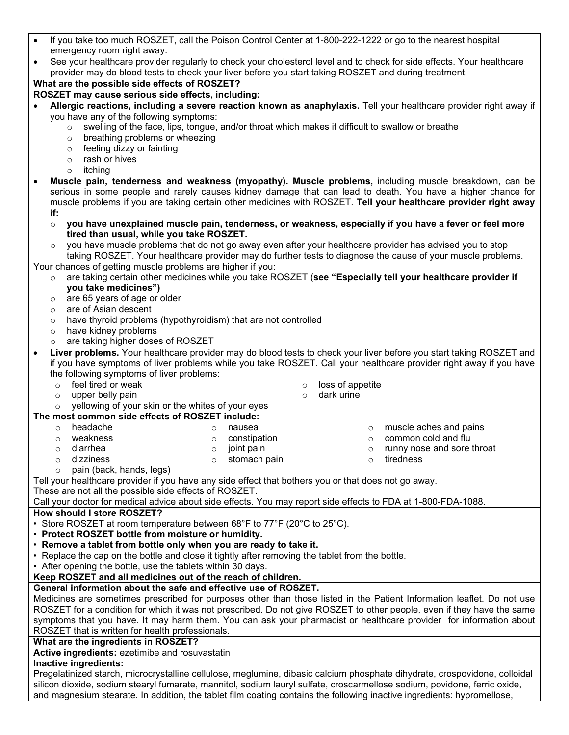|                                                                                                                        | If you take too much ROSZET, call the Poison Control Center at 1-800-222-1222 or go to the nearest hospital |                  |                                                                                                                                                                                                                                                                                                                                        |
|------------------------------------------------------------------------------------------------------------------------|-------------------------------------------------------------------------------------------------------------|------------------|----------------------------------------------------------------------------------------------------------------------------------------------------------------------------------------------------------------------------------------------------------------------------------------------------------------------------------------|
| emergency room right away.                                                                                             |                                                                                                             |                  |                                                                                                                                                                                                                                                                                                                                        |
| See your healthcare provider regularly to check your cholesterol level and to check for side effects. Your healthcare  |                                                                                                             |                  |                                                                                                                                                                                                                                                                                                                                        |
| provider may do blood tests to check your liver before you start taking ROSZET and during treatment.                   |                                                                                                             |                  |                                                                                                                                                                                                                                                                                                                                        |
| What are the possible side effects of ROSZET?                                                                          |                                                                                                             |                  |                                                                                                                                                                                                                                                                                                                                        |
| ROSZET may cause serious side effects, including:                                                                      |                                                                                                             |                  |                                                                                                                                                                                                                                                                                                                                        |
|                                                                                                                        |                                                                                                             |                  | Allergic reactions, including a severe reaction known as anaphylaxis. Tell your healthcare provider right away if                                                                                                                                                                                                                      |
| you have any of the following symptoms:                                                                                |                                                                                                             |                  |                                                                                                                                                                                                                                                                                                                                        |
| $\circ$                                                                                                                | swelling of the face, lips, tongue, and/or throat which makes it difficult to swallow or breathe            |                  |                                                                                                                                                                                                                                                                                                                                        |
| breathing problems or wheezing<br>$\circ$                                                                              |                                                                                                             |                  |                                                                                                                                                                                                                                                                                                                                        |
| feeling dizzy or fainting<br>$\circ$                                                                                   |                                                                                                             |                  |                                                                                                                                                                                                                                                                                                                                        |
| rash or hives<br>$\circ$                                                                                               |                                                                                                             |                  |                                                                                                                                                                                                                                                                                                                                        |
| itching<br>$\circ$                                                                                                     |                                                                                                             |                  |                                                                                                                                                                                                                                                                                                                                        |
|                                                                                                                        |                                                                                                             |                  | Muscle pain, tenderness and weakness (myopathy). Muscle problems, including muscle breakdown, can be<br>serious in some people and rarely causes kidney damage that can lead to death. You have a higher chance for<br>muscle problems if you are taking certain other medicines with ROSZET. Tell your healthcare provider right away |
| if:                                                                                                                    |                                                                                                             |                  |                                                                                                                                                                                                                                                                                                                                        |
| $\circ$                                                                                                                |                                                                                                             |                  | you have unexplained muscle pain, tenderness, or weakness, especially if you have a fever or feel more                                                                                                                                                                                                                                 |
| tired than usual, while you take ROSZET.                                                                               |                                                                                                             |                  |                                                                                                                                                                                                                                                                                                                                        |
| $\circ$                                                                                                                | you have muscle problems that do not go away even after your healthcare provider has advised you to stop    |                  |                                                                                                                                                                                                                                                                                                                                        |
|                                                                                                                        |                                                                                                             |                  | taking ROSZET. Your healthcare provider may do further tests to diagnose the cause of your muscle problems.                                                                                                                                                                                                                            |
| Your chances of getting muscle problems are higher if you:                                                             |                                                                                                             |                  |                                                                                                                                                                                                                                                                                                                                        |
| $\circ$                                                                                                                |                                                                                                             |                  | are taking certain other medicines while you take ROSZET (see "Especially tell your healthcare provider if                                                                                                                                                                                                                             |
| you take medicines")                                                                                                   |                                                                                                             |                  |                                                                                                                                                                                                                                                                                                                                        |
| are 65 years of age or older<br>$\circ$                                                                                |                                                                                                             |                  |                                                                                                                                                                                                                                                                                                                                        |
| are of Asian descent<br>$\circ$                                                                                        |                                                                                                             |                  |                                                                                                                                                                                                                                                                                                                                        |
| have thyroid problems (hypothyroidism) that are not controlled<br>$\circ$                                              |                                                                                                             |                  |                                                                                                                                                                                                                                                                                                                                        |
| have kidney problems<br>$\circ$                                                                                        |                                                                                                             |                  |                                                                                                                                                                                                                                                                                                                                        |
| are taking higher doses of ROSZET<br>$\circ$                                                                           |                                                                                                             |                  |                                                                                                                                                                                                                                                                                                                                        |
|                                                                                                                        |                                                                                                             |                  | Liver problems. Your healthcare provider may do blood tests to check your liver before you start taking ROSZET and                                                                                                                                                                                                                     |
|                                                                                                                        |                                                                                                             |                  |                                                                                                                                                                                                                                                                                                                                        |
| if you have symptoms of liver problems while you take ROSZET. Call your healthcare provider right away if you have     |                                                                                                             |                  |                                                                                                                                                                                                                                                                                                                                        |
| the following symptoms of liver problems:                                                                              |                                                                                                             |                  |                                                                                                                                                                                                                                                                                                                                        |
| feel tired or weak<br>$\circ$                                                                                          | $\circ$                                                                                                     | loss of appetite |                                                                                                                                                                                                                                                                                                                                        |
| upper belly pain<br>$\circ$                                                                                            | $\circ$                                                                                                     | dark urine       |                                                                                                                                                                                                                                                                                                                                        |
| yellowing of your skin or the whites of your eyes<br>$\circ$                                                           |                                                                                                             |                  |                                                                                                                                                                                                                                                                                                                                        |
| The most common side effects of ROSZET include:                                                                        |                                                                                                             |                  |                                                                                                                                                                                                                                                                                                                                        |
| headache<br>$\circ$                                                                                                    | nausea<br>$\circ$                                                                                           | $\circ$          | muscle aches and pains                                                                                                                                                                                                                                                                                                                 |
| weakness<br>$\circ$                                                                                                    | constipation<br>$\circ$                                                                                     | $\circ$          | common cold and flu                                                                                                                                                                                                                                                                                                                    |
| diarrhea<br>$\circ$                                                                                                    | joint pain<br>$\circ$                                                                                       | $\circ$          | runny nose and sore throat                                                                                                                                                                                                                                                                                                             |
| dizziness<br>$\circ$                                                                                                   | stomach pain<br>$\circ$                                                                                     | $\circ$          | tiredness                                                                                                                                                                                                                                                                                                                              |
| pain (back, hands, legs)<br>$\circ$                                                                                    |                                                                                                             |                  |                                                                                                                                                                                                                                                                                                                                        |
| Tell your healthcare provider if you have any side effect that bothers you or that does not go away.                   |                                                                                                             |                  |                                                                                                                                                                                                                                                                                                                                        |
| These are not all the possible side effects of ROSZET.                                                                 |                                                                                                             |                  |                                                                                                                                                                                                                                                                                                                                        |
| Call your doctor for medical advice about side effects. You may report side effects to FDA at 1-800-FDA-1088.          |                                                                                                             |                  |                                                                                                                                                                                                                                                                                                                                        |
| How should I store ROSZET?                                                                                             |                                                                                                             |                  |                                                                                                                                                                                                                                                                                                                                        |
| • Store ROSZET at room temperature between 68°F to 77°F (20°C to 25°C).                                                |                                                                                                             |                  |                                                                                                                                                                                                                                                                                                                                        |
| • Protect ROSZET bottle from moisture or humidity.                                                                     |                                                                                                             |                  |                                                                                                                                                                                                                                                                                                                                        |
| • Remove a tablet from bottle only when you are ready to take it.                                                      |                                                                                                             |                  |                                                                                                                                                                                                                                                                                                                                        |
| • Replace the cap on the bottle and close it tightly after removing the tablet from the bottle.                        |                                                                                                             |                  |                                                                                                                                                                                                                                                                                                                                        |
| • After opening the bottle, use the tablets within 30 days.                                                            |                                                                                                             |                  |                                                                                                                                                                                                                                                                                                                                        |
| Keep ROSZET and all medicines out of the reach of children.                                                            |                                                                                                             |                  |                                                                                                                                                                                                                                                                                                                                        |
| General information about the safe and effective use of ROSZET.                                                        |                                                                                                             |                  |                                                                                                                                                                                                                                                                                                                                        |
| Medicines are sometimes prescribed for purposes other than those listed in the Patient Information leaflet. Do not use |                                                                                                             |                  |                                                                                                                                                                                                                                                                                                                                        |
| ROSZET for a condition for which it was not prescribed. Do not give ROSZET to other people, even if they have the same |                                                                                                             |                  |                                                                                                                                                                                                                                                                                                                                        |
| symptoms that you have. It may harm them. You can ask your pharmacist or healthcare provider for information about     |                                                                                                             |                  |                                                                                                                                                                                                                                                                                                                                        |
| ROSZET that is written for health professionals.                                                                       |                                                                                                             |                  |                                                                                                                                                                                                                                                                                                                                        |
| What are the ingredients in ROSZET?                                                                                    |                                                                                                             |                  |                                                                                                                                                                                                                                                                                                                                        |
| Active ingredients: ezetimibe and rosuvastatin<br>Inactive ingredients:                                                |                                                                                                             |                  |                                                                                                                                                                                                                                                                                                                                        |

silicon dioxide, sodium stearyl fumarate, mannitol, sodium lauryl sulfate, croscarmellose sodium, povidone, ferric oxide, and magnesium stearate. In addition, the tablet film coating contains the following inactive ingredients: hypromellose,